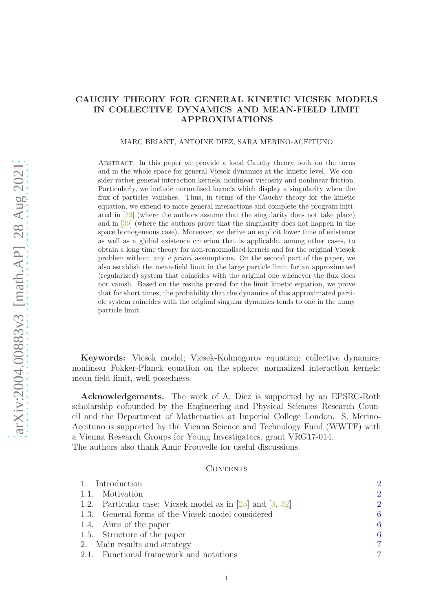# CAUCHY THEORY FOR GENERAL KINETIC VICSEK MODELS IN COLLECTIVE DYNAMICS AND MEAN-FIELD LIMIT APPROXIMATIONS

#### MARC BRIANT, ANTOINE DIEZ, SARA MERINO-ACEITUNO

Abstract. In this paper we provide a local Cauchy theory both on the torus and in the whole space for general Vicsek dynamics at the kinetic level. We consider rather general interaction kernels, nonlinear viscosity and nonlinear friction. Particularly, we include normalised kernels which display a singularity when the flux of particles vanishes. Thus, in terms of the Cauchy theory for the kinetic equation, we extend to more general interactions and complete the program initiated in [\[33\]](#page-38-0) (where the authors assume that the singularity does not take place) and in [\[30\]](#page-37-0) (where the authors prove that the singularity does not happen in the space homogeneous case). Moreover, we derive an explicit lower time of existence as well as a global existence criterion that is applicable, among other cases, to obtain a long time theory for non-renormalised kernels and for the original Vicsek problem without any a priori assumptions. On the second part of the paper, we also establish the mean-field limit in the large particle limit for an approximated (regularized) system that coincides with the original one whenever the flux does not vanish. Based on the results proved for the limit kinetic equation, we prove that for short times, the probability that the dynamics of this approximated particle system coincides with the original singular dynamics tends to one in the many particle limit.

Keywords: Vicsek model; Vicsek-Kolmogorov equation; collective dynamics; nonlinear Fokker-Planck equation on the sphere; normalized interaction kernels; mean-field limit, well-posedness.

Acknowledgements. The work of A. Diez is supported by an EPSRC-Roth scholarship cofounded by the Engineering and Physical Sciences Research Council and the Department of Mathematics at Imperial College London. S. Merino-Aceituno is supported by the Vienna Science and Technology Fund (WWTF) with a Vienna Research Groups for Young Investigators, grant VRG17-014. The authors also thank Amic Frouvelle for useful discussions.

#### CONTENTS

| 1. Introduction                                               | $\overline{2}$ |
|---------------------------------------------------------------|----------------|
| 1.1. Motivation                                               | $\mathcal{D}$  |
| 1.2. Particular case: Vicsek model as in $[23]$ and $[3, 32]$ | $\overline{2}$ |
| 1.3. General forms of the Vicsek model considered             | 6              |
| 1.4. Aims of the paper                                        | 6              |
| 1.5. Structure of the paper                                   | 6              |
| 2. Main results and strategy                                  | 7              |
| 2.1. Functional framework and notations                       |                |
|                                                               |                |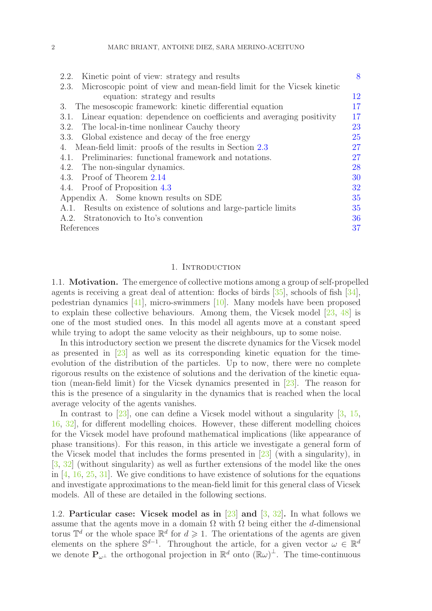| Kinetic point of view: strategy and results<br>2.2.                           | 8  |
|-------------------------------------------------------------------------------|----|
| Microscopic point of view and mean-field limit for the Vicsek kinetic<br>2.3. |    |
| equation: strategy and results                                                | 12 |
| The mesoscopic framework: kinetic differential equation<br>3.                 | 17 |
| Linear equation: dependence on coefficients and averaging positivity<br>3.1.  | 17 |
| 3.2. The local-in-time nonlinear Cauchy theory                                | 23 |
| 3.3. Global existence and decay of the free energy                            | 25 |
| Mean-field limit: proofs of the results in Section 2.3<br>4.                  | 27 |
| 4.1. Preliminaries: functional framework and notations.                       | 27 |
| 4.2. The non-singular dynamics.                                               | 28 |
| 4.3. Proof of Theorem 2.14                                                    | 30 |
| 4.4. Proof of Proposition 4.3                                                 | 32 |
| Appendix A. Some known results on SDE                                         | 35 |
| A.1. Results on existence of solutions and large-particle limits              | 35 |
| A.2. Stratonovich to Ito's convention                                         | 36 |
| References                                                                    | 37 |

### 1. INTRODUCTION

<span id="page-1-1"></span><span id="page-1-0"></span>1.1. Motivation. The emergence of collective motions among a group of self-propelled agents is receiving a great deal of attention: flocks of birds [\[35\]](#page-38-2), schools of fish [\[34\]](#page-38-3), pedestrian dynamics [\[41\]](#page-38-4), micro-swimmers [\[10\]](#page-37-2). Many models have been proposed to explain these collective behaviours. Among them, the Vicsek model [\[23,](#page-37-1) [48\]](#page-38-5) is one of the most studied ones. In this model all agents move at a constant speed while trying to adopt the same velocity as their neighbours, up to some noise.

In this introductory section we present the discrete dynamics for the Vicsek model as presented in [\[23\]](#page-37-1) as well as its corresponding kinetic equation for the timeevolution of the distribution of the particles. Up to now, there were no complete rigorous results on the existence of solutions and the derivation of the kinetic equation (mean-field limit) for the Vicsek dynamics presented in [\[23\]](#page-37-1). The reason for this is the presence of a singularity in the dynamics that is reached when the local average velocity of the agents vanishes.

In contrast to [\[23\]](#page-37-1), one can define a Vicsek model without a singularity [\[3,](#page-36-0) [15,](#page-37-3) [16,](#page-37-4) [32\]](#page-38-1), for different modelling choices. However, these different modelling choices for the Vicsek model have profound mathematical implications (like appearance of phase transitions). For this reason, in this article we investigate a general form of the Vicsek model that includes the forms presented in [\[23\]](#page-37-1) (with a singularity), in [\[3,](#page-36-0) [32\]](#page-38-1) (without singularity) as well as further extensions of the model like the ones in  $[4, 16, 25, 31]$  $[4, 16, 25, 31]$  $[4, 16, 25, 31]$  $[4, 16, 25, 31]$  $[4, 16, 25, 31]$  $[4, 16, 25, 31]$ . We give conditions to have existence of solutions for the equations and investigate approximations to the mean-field limit for this general class of Vicsek models. All of these are detailed in the following sections.

<span id="page-1-2"></span>1.2. Particular case: Vicsek model as in [\[23\]](#page-37-1) and [\[3,](#page-36-0) [32\]](#page-38-1). In what follows we assume that the agents move in a domain  $\Omega$  with  $\Omega$  being either the d-dimensional torus  $\mathbb{T}^d$  or the whole space  $\mathbb{R}^d$  for  $d \geq 1$ . The orientations of the agents are given elements on the sphere  $\mathbb{S}^{d-1}$ . Throughout the article, for a given vector  $\omega \in \mathbb{R}^d$ we denote  $P_{\omega^{\perp}}$  the orthogonal projection in  $\mathbb{R}^{d}$  onto  $(\mathbb{R}\omega)^{\perp}$ . The time-continuous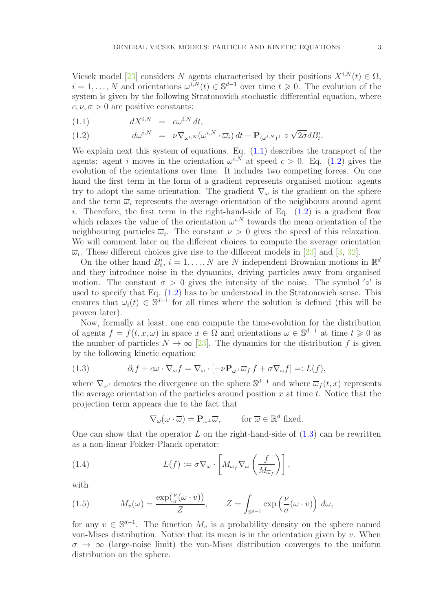Vicsek model [\[23\]](#page-37-1) considers N agents characterised by their positions  $X^{i,N}(t) \in \Omega$ ,  $i = 1, \ldots, N$  and orientations  $\omega^{i,N}(t) \in \mathbb{S}^{d-1}$  over time  $t \geq 0$ . The evolution of the system is given by the following Stratonovich stochastic differential equation, where  $c, \nu, \sigma > 0$  are positive constants:

<span id="page-2-0"></span>
$$
(1.1) \t\t dX^{i,N} = c\omega^{i,N} dt,
$$

(1.2) 
$$
d\omega^{i,N} = \nu \nabla_{\omega^{i,N}} (\omega^{i,N} \cdot \overline{\omega}_i) dt + \mathbf{P}_{(\omega^{i,N})^{\perp}} \circ \sqrt{2\sigma} dB_i^i.
$$

We explain next this system of equations. Eq.  $(1.1)$  describes the transport of the agents: agent i moves in the orientation  $\omega^{i,N}$  at speed  $c > 0$ . Eq. [\(1.2\)](#page-2-0) gives the evolution of the orientations over time. It includes two competing forces. On one hand the first term in the form of a gradient represents organised motion: agents try to adopt the same orientation. The gradient  $\nabla_{\omega}$  is the gradient on the sphere and the term  $\overline{\omega}_i$  represents the average orientation of the neighbours around agent i. Therefore, the first term in the right-hand-side of Eq.  $(1.2)$  is a gradient flow which relaxes the value of the orientation  $\omega^{i,N}$  towards the mean orientation of the neighbouring particles  $\overline{\omega}_i$ . The constant  $\nu > 0$  gives the speed of this relaxation. We will comment later on the different choices to compute the average orientation  $\overline{\omega}_i$ . These different choices give rise to the different models in [\[23\]](#page-37-1) and [\[3,](#page-36-0) [32\]](#page-38-1).

On the other hand  $B_t^i$ ,  $i = 1, ..., N$  are N independent Brownian motions in  $\mathbb{R}^d$ and they introduce noise in the dynamics, driving particles away from organised motion. The constant  $\sigma > 0$  gives the intensity of the noise. The symbol  $'$ °' is used to specify that Eq. [\(1.2\)](#page-2-0) has to be understood in the Stratonovich sense. This ensures that  $\omega_i(t) \in \mathbb{S}^{d-1}$  for all times where the solution is defined (this will be proven later).

Now, formally at least, one can compute the time-evolution for the distribution of agents  $f = f(t, x, \omega)$  in space  $x \in \Omega$  and orientations  $\omega \in \mathbb{S}^{d-1}$  at time  $t \geq 0$  as the number of particles  $N \to \infty$  [\[23\]](#page-37-1). The dynamics for the distribution f is given by the following kinetic equation:

(1.3) 
$$
\partial_t f + c\omega \cdot \nabla_{\omega} f = \nabla_{\omega} \cdot \left[ -\nu \mathbf{P}_{\omega^\perp} \overline{\omega}_f f + \sigma \nabla_{\omega} f \right] =: L(f),
$$

where  $\nabla_{\omega}$  denotes the divergence on the sphere  $\mathbb{S}^{d-1}$  and where  $\overline{\omega}_f(t,x)$  represents the average orientation of the particles around position  $x$  at time  $t$ . Notice that the projection term appears due to the fact that

<span id="page-2-1"></span>
$$
\nabla_{\omega}(\omega \cdot \overline{\omega}) = \mathbf{P}_{\omega^{\perp}} \overline{\omega}, \quad \text{for } \overline{\omega} \in \mathbb{R}^d \text{ fixed.}
$$

One can show that the operator  $L$  on the right-hand-side of  $(1.3)$  can be rewritten as a non-linear Fokker-Planck operator:

(1.4) 
$$
L(f) := \sigma \nabla_{\omega} \cdot \left[ M_{\overline{\omega}_f} \nabla_{\omega} \left( \frac{f}{M_{\overline{\omega}_f}} \right) \right],
$$

with

<span id="page-2-2"></span>(1.5) 
$$
M_v(\omega) = \frac{\exp(\frac{\nu}{\sigma}(\omega \cdot v))}{Z}, \qquad Z = \int_{\mathbb{S}^{d-1}} \exp\left(\frac{\nu}{\sigma}(\omega \cdot v)\right) d\omega,
$$

for any  $v \in \mathbb{S}^{d-1}$ . The function  $M_v$  is a probability density on the sphere named von-Mises distribution. Notice that its mean is in the orientation given by v. When  $\sigma \rightarrow \infty$  (large-noise limit) the von-Mises distribution converges to the uniform distribution on the sphere.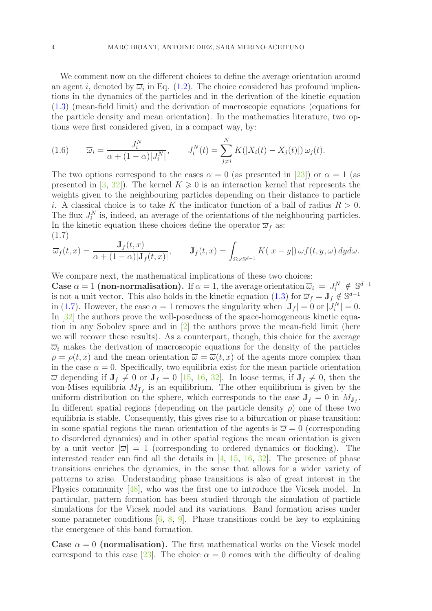We comment now on the different choices to define the average orientation around an agent *i*, denoted by  $\overline{\omega}_i$  in Eq. [\(1.2\)](#page-2-0). The choice considered has profound implications in the dynamics of the particles and in the derivation of the kinetic equation [\(1.3\)](#page-2-1) (mean-field limit) and the derivation of macroscopic equations (equations for the particle density and mean orientation). In the mathematics literature, two options were first considered given, in a compact way, by:

(1.6) 
$$
\overline{\omega}_i = \frac{J_i^N}{\alpha + (1 - \alpha)|J_i^N|}, \qquad J_i^N(t) = \sum_{j \neq i}^N K(|X_i(t) - X_j(t)|) \omega_j(t).
$$

The two options correspond to the cases  $\alpha = 0$  (as presented in [\[23\]](#page-37-1)) or  $\alpha = 1$  (as presented in [\[3,](#page-36-0) [32\]](#page-38-1)). The kernel  $K \geq 0$  is an interaction kernel that represents the weights given to the neighbouring particles depending on their distance to particle i. A classical choice is to take K the indicator function of a ball of radius  $R > 0$ . The flux  $J_i^N$  is, indeed, an average of the orientations of the neighbouring particles. In the kinetic equation these choices define the operator  $\overline{\omega}_f$  as: (1.7)

<span id="page-3-0"></span>
$$
\overline{\omega}_f(t,x) = \frac{\mathbf{J}_f(t,x)}{\alpha + (1-\alpha)|\mathbf{J}_f(t,x)|}, \qquad \mathbf{J}_f(t,x) = \int_{\Omega \times \mathbb{S}^{d-1}} K(|x-y|) \,\omega f(t,y,\omega) \,dyd\omega.
$$

We compare next, the mathematical implications of these two choices:

Case  $\alpha = 1$  (non-normalisation). If  $\alpha = 1$ , the average orientation  $\overline{\omega}_i = J_i^N \notin \mathbb{S}^{d-1}$ is not a unit vector. This also holds in the kinetic equation [\(1.3\)](#page-2-1) for  $\overline{\omega}_f = \mathbf{J}_f \notin \mathbb{S}^{d-1}$ in [\(1.7\)](#page-3-0). However, the case  $\alpha = 1$  removes the singularity when  $|\mathbf{J}_f| = 0$  or  $|J_i^N| = 0$ . In [\[32\]](#page-38-1) the authors prove the well-posedness of the space-homogeneous kinetic equation in any Sobolev space and in  $[2]$  the authors prove the mean-field limit (here we will recover these results). As a counterpart, though, this choice for the average  $\overline{\omega}_i$  makes the derivation of macroscopic equations for the density of the particles  $\rho = \rho(t, x)$  and the mean orientation  $\overline{\omega} = \overline{\omega}(t, x)$  of the agents more complex than in the case  $\alpha = 0$ . Specifically, two equilibria exist for the mean particle orientation  $\overline{\omega}$  depending if  $J_f \neq 0$  or  $J_f = 0$  [\[15,](#page-37-3) [16,](#page-37-4) [32\]](#page-38-1). In loose terms, if  $J_f \neq 0$ , then the von-Mises equilibria  $M_{J_f}$  is an equilibrium. The other equilibrium is given by the uniform distribution on the sphere, which corresponds to the case  $J_f = 0$  in  $M_{J_f}$ . In different spatial regions (depending on the particle density  $\rho$ ) one of these two equilibria is stable. Consequently, this gives rise to a bifurcation or phase transition: in some spatial regions the mean orientation of the agents is  $\overline{\omega} = 0$  (corresponding to disordered dynamics) and in other spatial regions the mean orientation is given by a unit vector  $|\overline{\omega}| = 1$  (corresponding to ordered dynamics or flocking). The interested reader can find all the details in  $[4, 15, 16, 32]$  $[4, 15, 16, 32]$  $[4, 15, 16, 32]$  $[4, 15, 16, 32]$  $[4, 15, 16, 32]$  $[4, 15, 16, 32]$ . The presence of phase transitions enriches the dynamics, in the sense that allows for a wider variety of patterns to arise. Understanding phase transitions is also of great interest in the Physics community [\[48\]](#page-38-5), who was the first one to introduce the Vicsek model. In particular, pattern formation has been studied through the simulation of particle simulations for the Vicsek model and its variations. Band formation arises under some parameter conditions  $[6, 8, 9]$  $[6, 8, 9]$  $[6, 8, 9]$  $[6, 8, 9]$ . Phase transitions could be key to explaining the emergence of this band formation.

Case  $\alpha = 0$  (normalisation). The first mathematical works on the Vicsek model correspond to this case [\[23\]](#page-37-1). The choice  $\alpha = 0$  comes with the difficulty of dealing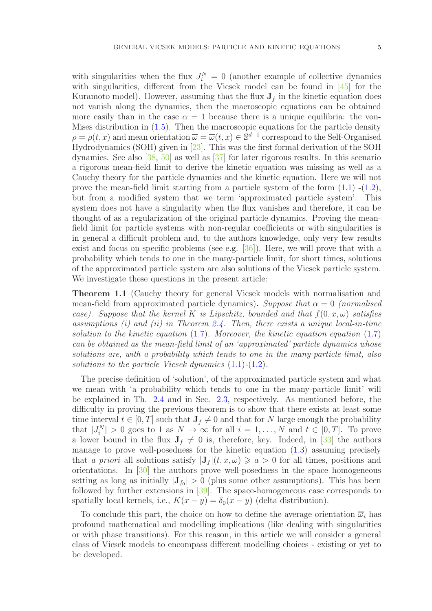with singularities when the flux  $J_i^N = 0$  (another example of collective dynamics with singularities, different from the Vicsek model can be found in [\[45\]](#page-38-7) for the Kuramoto model). However, assuming that the flux  $J_f$  in the kinetic equation does not vanish along the dynamics, then the macroscopic equations can be obtained more easily than in the case  $\alpha = 1$  because there is a unique equilibria: the von-Mises distribution in  $(1.5)$ . Then the macroscopic equations for the particle density  $\rho = \rho(t, x)$  and mean orientation  $\overline{\omega} = \overline{\omega}(t, x) \in \mathbb{S}^{d-1}$  correspond to the Self-Organised Hydrodynamics (SOH) given in [\[23\]](#page-37-1). This was the first formal derivation of the SOH dynamics. See also [\[38,](#page-38-8) [50\]](#page-38-9) as well as [\[37\]](#page-38-10) for later rigorous results. In this scenario a rigorous mean-field limit to derive the kinetic equation was missing as well as a Cauchy theory for the particle dynamics and the kinetic equation. Here we will not prove the mean-field limit starting from a particle system of the form  $(1.1)$  - $(1.2)$ , but from a modified system that we term 'approximated particle system'. This system does not have a singularity when the flux vanishes and therefore, it can be thought of as a regularization of the original particle dynamics. Proving the meanfield limit for particle systems with non-regular coefficients or with singularities is in general a difficult problem and, to the authors knowledge, only very few results exist and focus on specific problems (see e.g. [\[36\]](#page-38-11)). Here, we will prove that with a probability which tends to one in the many-particle limit, for short times, solutions of the approximated particle system are also solutions of the Vicsek particle system. We investigate these questions in the present article:

Theorem 1.1 (Cauchy theory for general Vicsek models with normalisation and mean-field from approximated particle dynamics). Suppose that  $\alpha = 0$  (normalised case). Suppose that the kernel K is Lipschitz, bounded and that  $f(0, x, \omega)$  satisfies assumptions (i) and (ii) in Theorem [2.4.](#page-8-0) Then, there exists a unique local-in-time solution to the kinetic equation  $(1.7)$ . Moreover, the kinetic equation equation  $(1.7)$ can be obtained as the mean-field limit of an 'approximated' particle dynamics whose solutions are, with a probability which tends to one in the many-particle limit, also solutions to the particle Vicsek dynamics  $(1.1)-(1.2)$  $(1.1)-(1.2)$  $(1.1)-(1.2)$ .

The precise definition of 'solution', of the approximated particle system and what we mean with 'a probability which tends to one in the many-particle limit' will be explained in Th. [2.4](#page-8-0) and in Sec. [2.3,](#page-11-0) respectively. As mentioned before, the difficulty in proving the previous theorem is to show that there exists at least some time interval  $t \in [0, T]$  such that  $J_f \neq 0$  and that for N large enough the probability that  $|J_i^N| > 0$  goes to 1 as  $N \to \infty$  for all  $i = 1, ..., N$  and  $t \in [0, T]$ . To prove a lower bound in the flux  $J_f \neq 0$  is, therefore, key. Indeed, in [\[33\]](#page-38-0) the authors manage to prove well-posedness for the kinetic equation [\(1.3\)](#page-2-1) assuming precisely that a priori all solutions satisfy  $|J_f|(t, x, \omega) \geq a > 0$  for all times, positions and orientations. In [\[30\]](#page-37-0) the authors prove well-posedness in the space homogeneous setting as long as initially  $|\mathbf{J}_{f_0}| > 0$  (plus some other assumptions). This has been followed by further extensions in [\[39\]](#page-38-12). The space-homogeneous case corresponds to spatially local kernels, i.e.,  $K(x - y) = \delta_0(x - y)$  (delta distribution).

To conclude this part, the choice on how to define the average orientation  $\overline{\omega}_i$  has profound mathematical and modelling implications (like dealing with singularities or with phase transitions). For this reason, in this article we will consider a general class of Vicsek models to encompass different modelling choices - existing or yet to be developed.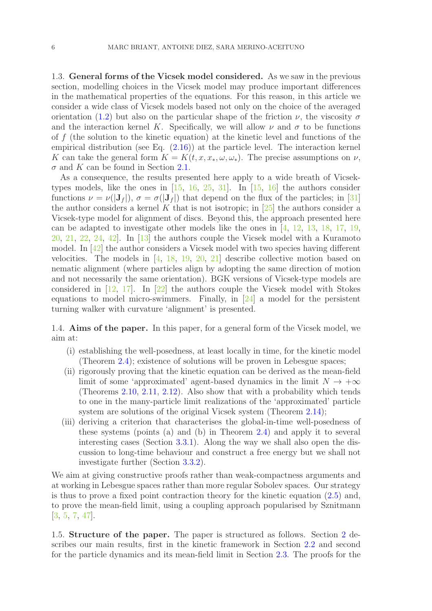<span id="page-5-0"></span>1.3. General forms of the Vicsek model considered. As we saw in the previous section, modelling choices in the Vicsek model may produce important differences in the mathematical properties of the equations. For this reason, in this article we consider a wide class of Vicsek models based not only on the choice of the averaged orientation [\(1.2\)](#page-2-0) but also on the particular shape of the friction  $\nu$ , the viscosity  $\sigma$ and the interaction kernel K. Specifically, we will allow  $\nu$  and  $\sigma$  to be functions of  $f$  (the solution to the kinetic equation) at the kinetic level and functions of the empirical distribution (see Eq. [\(2.16\)](#page-11-1)) at the particle level. The interaction kernel K can take the general form  $K = K(t, x, x_*, \omega, \omega_*)$ . The precise assumptions on  $\nu$ ,  $\sigma$  and K can be found in Section [2.1.](#page-6-1)

As a consequence, the results presented here apply to a wide breath of Vicsektypes models, like the ones in  $[15, 16, 25, 31]$  $[15, 16, 25, 31]$  $[15, 16, 25, 31]$  $[15, 16, 25, 31]$  $[15, 16, 25, 31]$  $[15, 16, 25, 31]$ . In  $[15, 16]$  $[15, 16]$  the authors consider functions  $\nu = \nu(|\mathbf{J}_f|)$ ,  $\sigma = \sigma(|\mathbf{J}_f|)$  that depend on the flux of the particles; in [\[31\]](#page-38-6) the author considers a kernel K that is not isotropic; in  $[25]$  the authors consider a Vicsek-type model for alignment of discs. Beyond this, the approach presented here can be adapted to investigate other models like the ones in [\[4,](#page-36-2) [12,](#page-37-6) [13,](#page-37-7) [18,](#page-37-8) [17,](#page-37-9) [19,](#page-37-10) [20,](#page-37-11) [21,](#page-37-12) [22,](#page-37-13) [24,](#page-37-14) [42\]](#page-38-13). In [\[13\]](#page-37-7) the authors couple the Vicsek model with a Kuramoto model. In  $[42]$  the author considers a Vicsek model with two species having different velocities. The models in  $[4, 18, 19, 20, 21]$  $[4, 18, 19, 20, 21]$  $[4, 18, 19, 20, 21]$  $[4, 18, 19, 20, 21]$  $[4, 18, 19, 20, 21]$  $[4, 18, 19, 20, 21]$  $[4, 18, 19, 20, 21]$  $[4, 18, 19, 20, 21]$  describe collective motion based on nematic alignment (where particles align by adopting the same direction of motion and not necessarily the same orientation). BGK versions of Vicsek-type models are considered in  $[12, 17]$  $[12, 17]$ . In  $[22]$  the authors couple the Vicsek model with Stokes equations to model micro-swimmers. Finally, in  $\left[24\right]$  a model for the persistent turning walker with curvature 'alignment' is presented.

<span id="page-5-1"></span>1.4. Aims of the paper. In this paper, for a general form of the Vicsek model, we aim at:

- (i) establishing the well-posedness, at least locally in time, for the kinetic model (Theorem [2.4\)](#page-8-0); existence of solutions will be proven in Lebesgue spaces;
- (ii) rigorously proving that the kinetic equation can be derived as the mean-field limit of some 'approximated' agent-based dynamics in the limit  $N \to +\infty$ (Theorems [2.10,](#page-14-0) [2.11,](#page-14-1) [2.12\)](#page-14-2). Also show that with a probability which tends to one in the many-particle limit realizations of the 'approximated' particle system are solutions of the original Vicsek system (Theorem [2.14\)](#page-15-0);
- (iii) deriving a criterion that characterises the global-in-time well-posedness of these systems (points (a) and (b) in Theorem [2.4\)](#page-8-0) and apply it to several interesting cases (Section [3.3.1\)](#page-24-1). Along the way we shall also open the discussion to long-time behaviour and construct a free energy but we shall not investigate further (Section [3.3.2\)](#page-26-2).

We aim at giving constructive proofs rather than weak-compactness arguments and at working in Lebesgue spaces rather than more regular Sobolev spaces. Our strategy is thus to prove a fixed point contraction theory for the kinetic equation [\(2.5\)](#page-7-1) and, to prove the mean-field limit, using a coupling approach popularised by Sznitmann [\[3,](#page-36-0) [5,](#page-36-7) [7,](#page-36-8) [47\]](#page-38-14).

<span id="page-5-2"></span>1.5. Structure of the paper. The paper is structured as follows. Section [2](#page-6-0) describes our main results, first in the kinetic framework in Section [2.2](#page-7-0) and second for the particle dynamics and its mean-field limit in Section [2.3.](#page-11-0) The proofs for the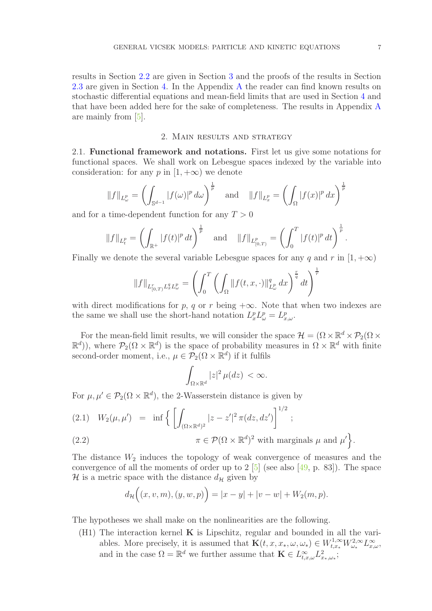results in Section [2.2](#page-7-0) are given in Section [3](#page-16-0) and the proofs of the results in Section [2.3](#page-11-0) are given in Section [4.](#page-26-0) In the Appendix [A](#page-34-0) the reader can find known results on stochastic differential equations and mean-field limits that are used in Section [4](#page-26-0) and that have been added here for the sake of completeness. The results in Appendix [A](#page-34-0) are mainly from [\[5\]](#page-36-7).

### 2. Main results and strategy

<span id="page-6-1"></span><span id="page-6-0"></span>2.1. Functional framework and notations. First let us give some notations for functional spaces. We shall work on Lebesgue spaces indexed by the variable into consideration: for any p in  $[1, +\infty)$  we denote

$$
||f||_{L^p_\omega} = \left(\int_{\mathbb{S}^{d-1}} |f(\omega)|^p \, d\omega\right)^{\frac{1}{p}} \quad \text{and} \quad ||f||_{L^p_x} = \left(\int_{\Omega} |f(x)|^p \, dx\right)^{\frac{1}{p}}
$$

and for a time-dependent function for any  $T > 0$ 

$$
||f||_{L_t^p} = \left(\int_{\mathbb{R}^+} |f(t)|^p dt\right)^{\frac{1}{p}} \text{ and } ||f||_{L_{[0,T)}^p} = \left(\int_0^T |f(t)|^p dt\right)^{\frac{1}{p}}.
$$

Finally we denote the several variable Lebesgue spaces for any q and r in  $[1, +\infty)$ 

$$
||f||_{L_{[0,T)}^rL_x^qL_{\omega}^p} = \left(\int_0^T \left(\int_{\Omega} ||f(t,x,\cdot)||_{L_{\omega}^p}^q dx\right)^{\frac{r}{q}} dt\right)^{\frac{1}{r}}
$$

with direct modifications for p, q or r being  $+\infty$ . Note that when two indexes are the same we shall use the short-hand notation  $L_x^p L_\omega^p = L_{x,\omega}^p$ .

For the mean-field limit results, we will consider the space  $\mathcal{H} = (\Omega \times \mathbb{R}^d \times \mathcal{P}_2(\Omega \times \mathbb{R}^d \times \mathcal{P}_3))$  $(\mathbb{R}^d)$ , where  $\mathcal{P}_2(\Omega \times \mathbb{R}^d)$  is the space of probability measures in  $\Omega \times \mathbb{R}^d$  with finite second-order moment, i.e.,  $\mu \in \mathcal{P}_2(\Omega \times \mathbb{R}^d)$  if it fulfils

$$
\int_{\Omega\times\mathbb{R}^d}|z|^2\,\mu(dz)\,<\infty.
$$

For  $\mu, \mu' \in \mathcal{P}_2(\Omega \times \mathbb{R}^d)$ , the 2-Wasserstein distance is given by

(2.1) 
$$
W_2(\mu, \mu') = \inf \left\{ \left[ \int_{(\Omega \times \mathbb{R}^d)^2} |z - z'|^2 \pi(dz, dz') \right]^{1/2};
$$
  
(2.2)  $\pi \in \mathcal{P}(\Omega \times \mathbb{R}^{d})^2$  with marginals  $\mu$  and  $\mu'$ 

(2.2) 
$$
\pi \in \mathcal{P}(\Omega \times \mathbb{R}^d)^2 \text{ with marginals } \mu \text{ and } \mu' \bigg\}.
$$

The distance  $W_2$  induces the topology of weak convergence of measures and the convergence of all the moments of order up to  $2 \times 5$  (see also  $\left[49, p. 83\right]$ ). The space H is a metric space with the distance  $d_{\mathcal{H}}$  given by

$$
d_{\mathcal{H}}\Big((x,v,m),(y,w,p)\Big)=|x-y|+|v-w|+W_2(m,p).
$$

<span id="page-6-2"></span>The hypotheses we shall make on the nonlinearities are the following.

(H1) The interaction kernel  $\bf{K}$  is Lipschitz, regular and bounded in all the variables. More precisely, it is assumed that  $\mathbf{K}(t, x, x_*, \omega, \omega_*) \in W^{1,\infty}_{t,x_*} W^{2,\infty}_{\omega_*} L^{\infty}_{x,\omega}$ , and in the case  $\Omega = \mathbb{R}^d$  we further assume that  $\mathbf{K} \in L^{\infty}_{t,x,\omega} L^2_{x_*,\omega_*};$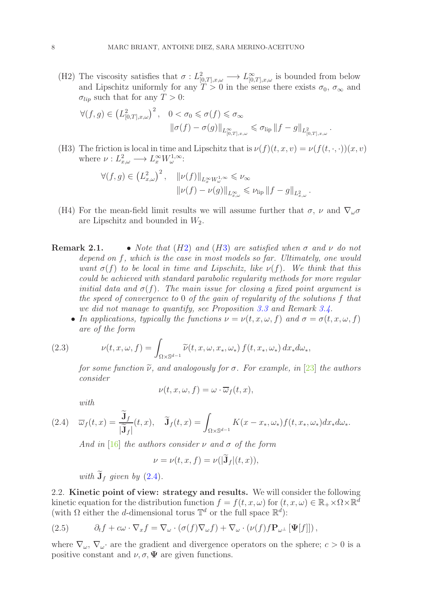<span id="page-7-2"></span>(H2) The viscosity satisfies that  $\sigma: L^2_{[0,T],x,\omega} \longrightarrow L^{\infty}_{[0,T],x,\omega}$  is bounded from below and Lipschitz uniformly for any  $T > 0$  in the sense there exists  $\sigma_0$ ,  $\sigma_{\infty}$  and  $\sigma_{lip}$  such that for any  $T > 0$ :

$$
\forall (f,g) \in \left( L^2_{[0,T],x,\omega} \right)^2, \quad 0 < \sigma_0 \leq \sigma(f) \leq \sigma_\infty
$$
\n
$$
\|\sigma(f) - \sigma(g)\|_{L^\infty_{[0,T],x,\omega}} \leq \sigma_{\text{lip}} \left\|f - g\right\|_{L^2_{[0,T],x,\omega}}.
$$

<span id="page-7-3"></span>(H3) The friction is local in time and Lipschitz that is  $\nu(f)(t, x, v) = \nu(f(t, \cdot, \cdot))(x, v)$ where  $\nu: L^2_{x,\omega} \longrightarrow L^{\infty}_x W^{1,\infty}_{\omega}$ :

$$
\forall (f,g) \in \left( L_{x,\omega}^2 \right)^2, \quad \|\nu(f)\|_{L_x^\infty W_\omega^{1,\infty}} \leqslant \nu_\infty
$$

$$
\|\nu(f) - \nu(g)\|_{L_{x,\omega}^\infty} \leqslant \nu_{\text{lip}} \left\|f - g\right\|_{L_{x,\omega}^2}.
$$

- <span id="page-7-5"></span>(H4) For the mean-field limit results we will assume further that  $\sigma$ ,  $\nu$  and  $\nabla_{\omega}\sigma$ are Lipschitz and bounded in  $W_2$ .
- **Remark 2.1.** Note that  $(H2)$  $(H2)$  and  $(H3)$  $(H3)$  are satisfied when  $\sigma$  and  $\nu$  do not depend on f, which is the case in most models so far. Ultimately, one would want  $\sigma(f)$  to be local in time and Lipschitz, like  $\nu(f)$ . We think that this could be achieved with standard parabolic regularity methods for more regular initial data and  $\sigma(f)$ . The main issue for closing a fixed point argument is the speed of convergence to 0 of the gain of regularity of the solutions f that we did not manage to quantify, see Proposition [3.3](#page-19-0) and Remark [3.4.](#page-19-1)
	- In applications, typically the functions  $\nu = \nu(t, x, \omega, f)$  and  $\sigma = \sigma(t, x, \omega, f)$ are of the form

(2.3) 
$$
\nu(t, x, \omega, f) = \int_{\Omega \times \mathbb{S}^{d-1}} \widetilde{\nu}(t, x, \omega, x_*, \omega_*) f(t, x_*, \omega_*) dx_* d\omega_*,
$$

for some function  $\tilde{\nu}$ , and analogously for  $\sigma$ . For example, in [\[23\]](#page-37-1) the authors consider

$$
\nu(t, x, \omega, f) = \omega \cdot \overline{\omega}_f(t, x),
$$

<span id="page-7-4"></span>with

$$
(2.4) \quad \overline{\omega}_f(t,x) = \frac{\widetilde{\mathbf{J}}_f}{|\widetilde{\mathbf{J}}_f|}(t,x), \quad \widetilde{\mathbf{J}}_f(t,x) = \int_{\Omega \times \mathbb{S}^{d-1}} K(x - x_*, \omega_*) f(t, x_*, \omega_*) dx_* d\omega_*.
$$

And in [\[16\]](#page-37-4) the authors consider  $\nu$  and  $\sigma$  of the form

$$
\nu = \nu(t, x, f) = \nu(|\mathbf{J}_f|(t, x)),
$$

with  $\widetilde{\mathbf{J}}_f$  given by [\(2.4\)](#page-7-4).

<span id="page-7-0"></span>2.2. Kinetic point of view: strategy and results. We will consider the following kinetic equation for the distribution function  $f = f(t, x, \omega)$  for  $(t, x, \omega) \in \mathbb{R}_+ \times \Omega \times \mathbb{R}^d$ (with  $\Omega$  either the d-dimensional torus  $\mathbb{T}^d$  or the full space  $\mathbb{R}^d$ ):

<span id="page-7-1"></span>(2.5) 
$$
\partial_t f + c\omega \cdot \nabla_x f = \nabla_\omega \cdot (\sigma(f) \nabla_\omega f) + \nabla_\omega \cdot (\nu(f) f \mathbf{P}_{\omega^\perp} [\mathbf{\Psi}[f]]),
$$

where  $\nabla_{\omega}$ ,  $\nabla_{\omega}$  are the gradient and divergence operators on the sphere;  $c > 0$  is a positive constant and  $\nu, \sigma, \Psi$  are given functions.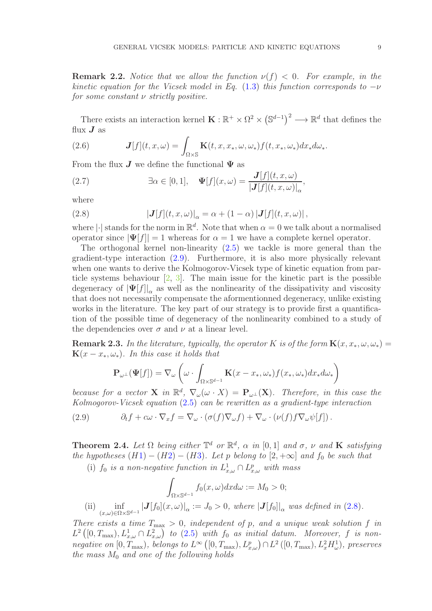**Remark 2.2.** Notice that we allow the function  $\nu(f) < 0$ . For example, in the kinetic equation for the Vicsek model in Eq. [\(1.3\)](#page-2-1) this function corresponds to  $-\nu$ for some constant ν strictly positive.

There exists an interaction kernel  $\mathbf{K}: \mathbb{R}^+ \times \Omega^2 \times (\mathbb{S}^{d-1})^2 \longrightarrow \mathbb{R}^d$  that defines the flux  $J$  as

(2.6) 
$$
\mathbf{J}[f](t,x,\omega) = \int_{\Omega \times \mathbb{S}} \mathbf{K}(t,x,x_*,\omega,\omega_*) f(t,x_*,\omega_*) dx_* d\omega_*.
$$

From the flux  $J$  we define the functional  $\Psi$  as

(2.7) 
$$
\exists \alpha \in [0, 1], \quad \Psi[f](x, \omega) = \frac{\mathbf{J}[f](t, x, \omega)}{|\mathbf{J}[f](t, x, \omega)|_{\alpha}},
$$

where

<span id="page-8-2"></span>(2.8) 
$$
\left|\mathbf{J}[f](t,x,\omega)\right|_{\alpha} = \alpha + (1-\alpha)\left|\mathbf{J}[f](t,x,\omega)\right|,
$$

where | $\cdot$ | stands for the norm in  $\mathbb{R}^d$ . Note that when  $\alpha = 0$  we talk about a normalised operator since  $|\Psi[f]| = 1$  whereas for  $\alpha = 1$  we have a complete kernel operator.

The orthogonal kernel non-linearity  $(2.5)$  we tackle is more general than the gradient-type interaction [\(2.9\)](#page-8-1). Furthermore, it is also more physically relevant when one wants to derive the Kolmogorov-Vicsek type of kinetic equation from particle systems behaviour [\[2,](#page-36-3) [3\]](#page-36-0). The main issue for the kinetic part is the possible degeneracy of  $|\Psi[f]|_{\alpha}$  as well as the nonlinearity of the dissipativity and viscosity that does not necessarily compensate the aformentionned degeneracy, unlike existing works in the literature. The key part of our strategy is to provide first a quantification of the possible time of degeneracy of the nonlinearity combined to a study of the dependencies over  $\sigma$  and  $\nu$  at a linear level.

**Remark 2.3.** In the literature, typically, the operator K is of the form  $\mathbf{K}(x, x_*, \omega, \omega_*) =$  $\mathbf{K}(x-x_*,\omega_*)$ . In this case it holds that

$$
\mathbf{P}_{\omega^{\perp}}(\mathbf{\Psi}[f]) = \nabla_{\omega} \left( \omega \cdot \int_{\Omega \times \mathbb{S}^{d-1}} \mathbf{K}(x - x_*, \omega_*) f(x_*, \omega_*) dx_* d\omega_* \right)
$$

because for a vector **X** in  $\mathbb{R}^d$ ,  $\nabla_{\omega}(\omega \cdot X) = \mathbf{P}_{\omega^{\perp}}(\mathbf{X})$ . Therefore, in this case the Kolmogorov-Vicsek equation [\(2.5\)](#page-7-1) can be rewritten as a gradient-type interaction

<span id="page-8-1"></span>(2.9) 
$$
\partial_t f + c\omega \cdot \nabla_x f = \nabla_\omega \cdot (\sigma(f) \nabla_\omega f) + \nabla_\omega \cdot (\nu(f) f \nabla_\omega \psi[f]).
$$

<span id="page-8-0"></span>**Theorem 2.4.** Let  $\Omega$  being either  $\mathbb{T}^d$  or  $\mathbb{R}^d$ ,  $\alpha$  in  $[0,1]$  and  $\sigma$ ,  $\nu$  and **K** satisfying the hypotheses  $(H1) - (H2) - (H3)$  $(H1) - (H2) - (H3)$  $(H1) - (H2) - (H3)$  $(H1) - (H2) - (H3)$  $(H1) - (H2) - (H3)$  $(H1) - (H2) - (H3)$ . Let p belong to  $[2, +\infty]$  and  $f_0$  be such that

(i)  $f_0$  is a non-negative function in  $L^1_{x,\omega} \cap L^p_{x,\omega}$  with mass

$$
\int_{\Omega \times \mathbb{S}^{d-1}} f_0(x,\omega) dx d\omega := M_0 > 0;
$$

(ii)  $\inf_{(x,\omega)\in\Omega\times\mathbb{S}^{d-1}}|\mathbf{J}[f_0](x,\omega)|_{\alpha}:=J_0>0$ , where  $|\mathbf{J}[f_0]|_{\alpha}$  was defined in [\(2.8\)](#page-8-2).

There exists a time  $T_{\text{max}} > 0$ , independent of p, and a unique weak solution f in  $L^2([0,T_{\max}), L^1_{x,\omega} \cap L^2_{x,\omega})$  to  $(2.5)$  with  $f_0$  as initial datum. Moreover, f is nonnegative on  $[0, T_{\text{max}})$ , belongs to  $L^{\infty}$   $([0, T_{\text{max}}), L_{x,\omega}^p) \cap L^2$   $([0, T_{\text{max}}), L_x^2 H_{\omega}^1)$ , preserves the mass  $M_0$  and one of the following holds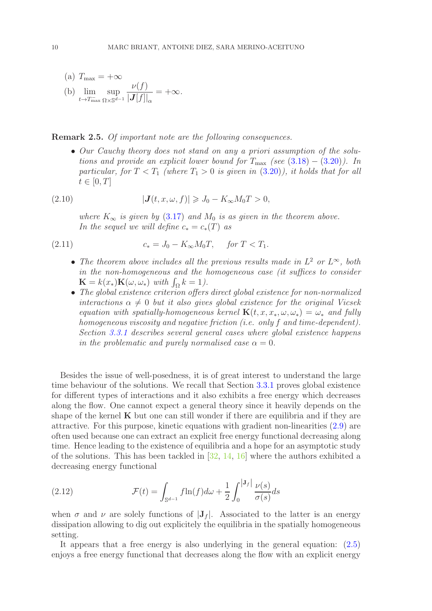(a) 
$$
T_{\text{max}} = +\infty
$$
  
\n(b)  $\lim_{t \to T_{\text{max}}} \sup_{\Omega \times \mathbb{S}^{d-1}} \frac{\nu(f)}{|\mathbf{J}[f]|_{\alpha}} = +\infty.$ 

Remark 2.5. Of important note are the following consequences.

• Our Cauchy theory does not stand on any a priori assumption of the solutions and provide an explicit lower bound for  $T_{\text{max}}$  (see [\(3.18\)](#page-23-0) – [\(3.20\)](#page-24-2)). In particular, for  $T < T_1$  (where  $T_1 > 0$  is given in  $(3.20)$ ), it holds that for all  $t\in[0,T]$ 

(2.10) 
$$
|\mathbf{J}(t,x,\omega,f)| \geqslant J_0 - K_{\infty} M_0 T > 0,
$$

<span id="page-9-0"></span>where  $K_{\infty}$  is given by [\(3.17\)](#page-23-1) and  $M_0$  is as given in the theorem above. In the sequel we will define  $c_* = c_*(T)$  as

(2.11) 
$$
c_* = J_0 - K_{\infty} M_0 T, \quad \text{for } T < T_1.
$$

- The theorem above includes all the previous results made in  $L^2$  or  $L^{\infty}$ , both in the non-homogeneous and the homogeneous case (it suffices to consider  $\mathbf{K} = k(x_*)\mathbf{K}(\omega, \omega_*)$  with  $\int_{\Omega} k = 1$ .
- The global existence criterion offers direct global existence for non-normalized interactions  $\alpha \neq 0$  but it also gives global existence for the original Vicsek equation with spatially-homogeneous kernel  $\mathbf{K}(t, x, x_*, \omega, \omega_*) = \omega_*$  and fully homogeneous viscosity and negative friction (i.e. only f and time-dependent). Section [3.3.1](#page-24-1) describes several general cases where global existence happens in the problematic and purely normalised case  $\alpha = 0$ .

Besides the issue of well-posedness, it is of great interest to understand the large time behaviour of the solutions. We recall that Section [3.3.1](#page-24-1) proves global existence for different types of interactions and it also exhibits a free energy which decreases along the flow. One cannot expect a general theory since it heavily depends on the shape of the kernel  $\bf{K}$  but one can still wonder if there are equilibria and if they are attractive. For this purpose, kinetic equations with gradient non-linearities [\(2.9\)](#page-8-1) are often used because one can extract an explicit free energy functional decreasing along time. Hence leading to the existence of equilibria and a hope for an asymptotic study of the solutions. This has been tackled in [\[32,](#page-38-1) [14,](#page-37-15) [16\]](#page-37-4) where the authors exhibited a decreasing energy functional

(2.12) 
$$
\mathcal{F}(t) = \int_{\mathbb{S}^{d-1}} f \ln(f) d\omega + \frac{1}{2} \int_0^{|J_f|} \frac{\nu(s)}{\sigma(s)} ds
$$

when  $\sigma$  and  $\nu$  are solely functions of  $|J_f|$ . Associated to the latter is an energy dissipation allowing to dig out explicitely the equilibria in the spatially homogeneous setting.

It appears that a free energy is also underlying in the general equation: [\(2.5\)](#page-7-1) enjoys a free energy functional that decreases along the flow with an explicit energy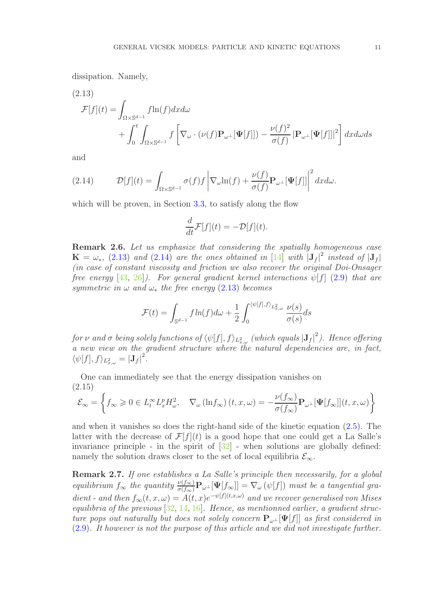dissipation. Namely,

(2.13)

<span id="page-10-0"></span>
$$
\mathcal{F}[f](t) = \int_{\Omega \times \mathbb{S}^{d-1}} f \ln(f) dx d\omega + \int_0^t \int_{\Omega \times \mathbb{S}^{d-1}} f \left[ \nabla_\omega \cdot (\nu(f) \mathbf{P}_{\omega^{\perp}}[\mathbf{\Psi}[f]]) - \frac{\nu(f)^2}{\sigma(f)} |\mathbf{P}_{\omega^{\perp}}[\mathbf{\Psi}[f]]|^2 \right] dx d\omega ds
$$

and

<span id="page-10-1"></span>(2.14) 
$$
\mathcal{D}[f](t) = \int_{\Omega \times \mathbb{S}^{d-1}} \sigma(f) f \left| \nabla_{\omega} \ln(f) + \frac{\nu(f)}{\sigma(f)} \mathbf{P}_{\omega^{\perp}}[\mathbf{\Psi}[f]] \right|^2 dx d\omega.
$$

which will be proven, in Section [3.3,](#page-24-0) to satisfy along the flow

$$
\frac{d}{dt}\mathcal{F}[f](t) = -\mathcal{D}[f](t).
$$

Remark 2.6. Let us emphasize that considering the spatially homogeneous case  $\mathbf{K} = \omega_*$ , [\(2.13\)](#page-10-0) and [\(2.14\)](#page-10-1) are the ones obtained in [\[14\]](#page-37-15) with  $|\mathbf{J}_f|^2$  instead of  $|\mathbf{J}_f|$ (in case of constant viscosity and friction we also recover the original Doi-Onsager free energy [\[43,](#page-38-16) [26\]](#page-37-16)). For general gradient kernel interactions  $\psi[f]$  [\(2.9\)](#page-8-1) that are symmetric in  $\omega$  and  $\omega_*$  the free energy [\(2.13\)](#page-10-0) becomes

$$
\mathcal{F}(t) = \int_{\mathbb{S}^{d-1}} f \ln(f) d\omega + \frac{1}{2} \int_0^{\langle \psi[f], f \rangle_{L^2_{x,\omega}}} \frac{\nu(s)}{\sigma(s)} ds
$$

for  $\nu$  and  $\sigma$  being solely functions of  $\langle \psi[f], f \rangle_{L^2_{x,\omega}}$  (which equals  $|{\bf J}_f|^2$ ). Hence offering a new view on the gradient structure where the natural dependencies are, in fact,  $\langle \psi[f], f \rangle_{L^2_{x,\omega}} = |\mathbf{J}_f|^2.$ 

One can immediately see that the energy dissipation vanishes on (2.15)

$$
\mathcal{E}_{\infty} = \left\{ f_{\infty} \geq 0 \in L_t^{\infty} L_x^p H_{\omega}^2, \quad \nabla_{\omega} (\ln f_{\infty}) (t, x, \omega) = -\frac{\nu(f_{\infty})}{\sigma(f_{\infty})} \mathbf{P}_{\omega^{\perp}} [\Psi[f_{\infty}]](t, x, \omega) \right\}
$$

and when it vanishes so does the right-hand side of the kinetic equation [\(2.5\)](#page-7-1). The latter with the decrease of  $\mathcal{F}[f](t)$  is a good hope that one could get a La Salle's invariance principle - in the spirit of  $[32]$  - when solutions are globally defined: namely the solution draws closer to the set of local equilibria  $\mathcal{E}_{\infty}$ .

Remark 2.7. If one establishes a La Salle's principle then necessarily, for a global equilibrium  $f_{\infty}$  the quantity  $\frac{\nu(f_{\infty})}{\sigma(f_{\infty})} \mathbf{P}_{\omega^{\perp}}[\Psi[f_{\infty}]] = \nabla_{\omega}(\psi[f])$  must be a tangential gradient - and then  $f_{\infty}(t, x, \omega) = A(t, x)e^{-\psi[f](t, x, \omega)}$  and we recover generalised von Mises equilibria of the previous  $[32, 14, 16]$  $[32, 14, 16]$  $[32, 14, 16]$  $[32, 14, 16]$  $[32, 14, 16]$ . Hence, as mentionned earlier, a gradient structure pops out naturally but does not solely concern  $P_{\omega^{\perp}}[\Psi[f]]$  as first considered in [\(2.9\)](#page-8-1). It however is not the purpose of this article and we did not investigate further.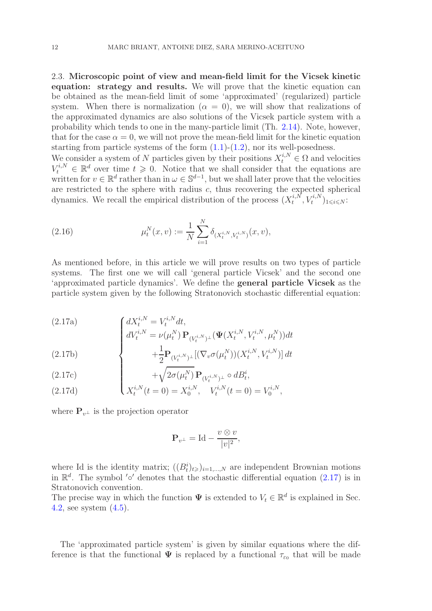<span id="page-11-0"></span>2.3. Microscopic point of view and mean-field limit for the Vicsek kinetic equation: strategy and results. We will prove that the kinetic equation can be obtained as the mean-field limit of some 'approximated' (regularized) particle system. When there is normalization  $(\alpha = 0)$ , we will show that realizations of the approximated dynamics are also solutions of the Vicsek particle system with a probability which tends to one in the many-particle limit (Th. [2.14\)](#page-15-0). Note, however, that for the case  $\alpha = 0$ , we will not prove the mean-field limit for the kinetic equation starting from particle systems of the form  $(1.1)-(1.2)$  $(1.1)-(1.2)$ , nor its well-posedness. We consider a system of N particles given by their positions  $X_t^{i,N} \in \Omega$  and velocities

 $V_t^{i,N} \in \mathbb{R}^d$  over time  $t \geq 0$ . Notice that we shall consider that the equations are written for  $v \in \mathbb{R}^d$  rather than in  $\omega \in \mathbb{S}^{d-1}$ , but we shall later prove that the velocities are restricted to the sphere with radius  $c$ , thus recovering the expected spherical dynamics. We recall the empirical distribution of the process  $(X_t^{i,N})$  $_{t}^{i,N},V_{t}^{i,N})_{1\leqslant i\leqslant N}$ :

<span id="page-11-1"></span>(2.16) 
$$
\mu_t^N(x,v) := \frac{1}{N} \sum_{i=1}^N \delta_{(X_t^{i,N}, V_t^{i,N})}(x,v),
$$

As mentioned before, in this article we will prove results on two types of particle systems. The first one we will call 'general particle Vicsek' and the second one 'approximated particle dynamics'. We define the general particle Vicsek as the particle system given by the following Stratonovich stochastic differential equation:

<span id="page-11-2"></span>(2.17a)  

$$
\begin{cases}\ndX_t^{i,N} = V_t^{i,N} dt, \\
dV_t^{i,N} = \nu(\mu_t^N) \mathbf{P}_{(V_t^{i,N})^\perp}(\mathbf{\Psi}(X_t^{i,N}, V_t^{i,N}, \mu_t^N)) dt \\
\qquad + \frac{1}{L} \mathbf{P}_{(i,N)} \left[ (\nabla \mathbf{\sigma}(\mu_t^N)) (\mathbf{Y}^{i,N}, V_t^{i,N}) \right] dt\n\end{cases}
$$

(2.17b)  

$$
+\frac{1}{2}\mathbf{P}_{(V_t^{i,N})^{\perp}}[(\nabla_v \sigma(\mu_t^N))(X_t^{i,N}, V_t^{i,N})] dt
$$

(2.17c)  

$$
+ \sqrt{2\sigma(\mu_t^N)} \mathbf{P}_{(V_t^{i,N})^\perp} \circ dB_t^i,
$$
  
(2.17d)  

$$
X_t^{i,N}(t=0) = X_0^{i,N}, V_t^{i,N}(t=0)
$$

(2.17d) 
$$
X_t^{i,N}(t=0) = X_0^{i,N}, \quad V_t^{i,N}(t=0) = V_0^{i,N},
$$

where  $\mathbf{P}_{v^{\perp}}$  is the projection operator

$$
\mathbf{P}_{v^{\perp}} = \mathrm{Id} - \frac{v \otimes v}{|v|^2},
$$

where Id is the identity matrix;  $((B_t^i)_{t\geqslant})_{i=1,\dots,N}$  are independent Brownian motions in  $\mathbb{R}^d$ . The symbol '∘' denotes that the stochastic differential equation [\(2.17\)](#page-11-2) is in Stratonovich convention.

The precise way in which the function  $\Psi$  is extended to  $V_t \in \mathbb{R}^d$  is explained in Sec. [4.2,](#page-27-0) see system [\(4.5\)](#page-28-0).

The 'approximated particle system' is given by similar equations where the difference is that the functional  $\Psi$  is replaced by a functional  $\tau_{\epsilon_0}$  that will be made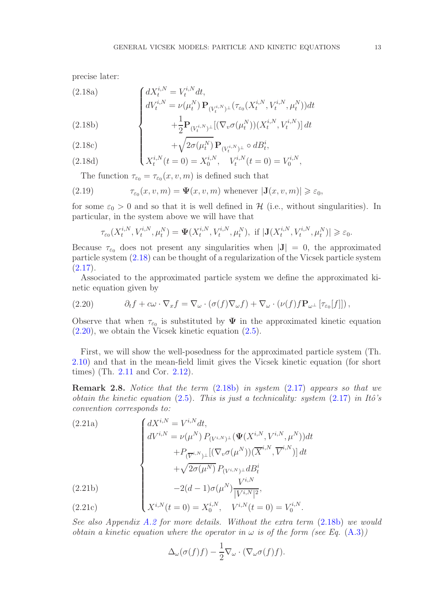<span id="page-12-0"></span>precise later:

(2.18a)  
\n
$$
\begin{cases}\ndX_t^{i,N} = V_t^{i,N} dt, \ndV_t^{i,N} = \nu(\mu_t^N) \mathbf{P}_{(V_t^{i,N})^\perp}(\tau_{\varepsilon_0}(X_t^{i,N}, V_t^{i,N}, \mu_t^N)) dt \n+ \frac{1}{2} \mathbf{P}_{(V_t^{i,N})^\perp}[(\nabla_v \sigma(\mu_t^N))(X_t^{i,N}, V_t^{i,N})] dt\n\end{cases}
$$

<span id="page-12-2"></span>
$$
\begin{array}{c}\n\mathcal{L}.100 \\
\downarrow \\
\mathcal{L}.101\n\end{array}
$$

(2.18c)  
\n
$$
+ \sqrt{2\sigma(\mu_t^N)} \mathbf{P}_{(V_t^{i,N})^\perp} \circ dB_t^i,
$$
\n(2.18d)  
\n
$$
X_t^{i,N}(t=0) = X_t^{i,N}, \quad V_t^{i,N}(t=0)
$$

(2.18d) 
$$
\qquad \qquad \left(X_t^{i,N}(t=0)=X_0^{i,N},\quad V_t^{i,N}(t=0)=V_0^{i,N},\right.
$$

The function  $\tau_{\varepsilon_0} = \tau_{\varepsilon_0}(x, v, m)$  is defined such that

(2.19) 
$$
\tau_{\varepsilon_0}(x,v,m) = \Psi(x,v,m) \text{ whenever } |\mathbf{J}(x,v,m)| \geq \varepsilon_0,
$$

for some  $\varepsilon_0 > 0$  and so that it is well defined in H (i.e., without singularities). In particular, in the system above we will have that

$$
\tau_{\varepsilon_0}(X_t^{i,N}, V_t^{i,N}, \mu_t^N) = \Psi(X_t^{i,N}, V_t^{i,N}, \mu_t^N), \text{ if } |\mathbf{J}(X_t^{i,N}, V_t^{i,N}, \mu_t^N)| \geq \varepsilon_0.
$$

Because  $\tau_{\epsilon_0}$  does not present any singularities when  $|J| = 0$ , the approximated particle system [\(2.18\)](#page-12-0) can be thought of a regularization of the Vicsek particle system  $(2.17).$  $(2.17).$ 

Associated to the approximated particle system we define the approximated kinetic equation given by

<span id="page-12-1"></span>(2.20) 
$$
\partial_t f + c\omega \cdot \nabla_x f = \nabla_\omega \cdot (\sigma(f) \nabla_\omega f) + \nabla_\omega \cdot (\nu(f) f \mathbf{P}_{\omega^\perp} [\tau_{\varepsilon_0}[f]]),
$$

Observe that when  $\tau_{\epsilon_0}$  is substituted by  $\Psi$  in the approximated kinetic equation  $(2.20)$ , we obtain the Vicsek kinetic equation  $(2.5)$ .

First, we will show the well-posedness for the approximated particle system (Th. [2.10\)](#page-14-0) and that in the mean-field limit gives the Vicsek kinetic equation (for short times) (Th. [2.11](#page-14-1) and Cor. [2.12\)](#page-14-2).

**Remark 2.8.** Notice that the term  $(2.18b)$  in system  $(2.17)$  appears so that we obtain the kinetic equation [\(2.5\)](#page-7-1). This is just a technicality: system  $(2.17)$  in Itô's convention corresponds to:

(2.21a)  
\n
$$
\begin{cases}\ndX^{i,N} = V^{i,N}dt, \\
dV^{i,N} = \nu(\mu^N) P_{(V^{i,N})^\perp}(\Psi(X^{i,N}, V^{i,N}, \mu^N))dt \\
+ P_{(\overline{V}^{i,N})^\perp}[(\nabla_v \sigma(\mu^N))(\overline{X}^{i,N}, \overline{V}^{i,N})]dt \\
+\sqrt{2\sigma(\mu^N)} P_{(V^{i,N})^\perp} dB_t^i \\
-2(d-1)\sigma(\mu^N) \frac{V^{i,N}}{|V^{i,N}|^2}, \\
X^{i,N}(t=0) = X_0^{i,N}, \quad V^{i,N}(t=0) = V_0^{i,N}.\n\end{cases}
$$

(2.21c) 
$$
\qquad \qquad \left(X^{i,N}(t=0)=X_0^{i,N},\quad V^{i,N}(t=0)=V_0^{i,N}.\right.
$$

See also Appendix [A.2](#page-35-0) for more details. Without the extra term [\(2.18b\)](#page-12-2) we would obtain a kinetic equation where the operator in  $\omega$  is of the form (see Eq. [\(A.3\)](#page-35-1))

$$
\Delta_{\omega}(\sigma(f)f) - \frac{1}{2}\nabla_{\omega} \cdot (\nabla_{\omega}\sigma(f)f).
$$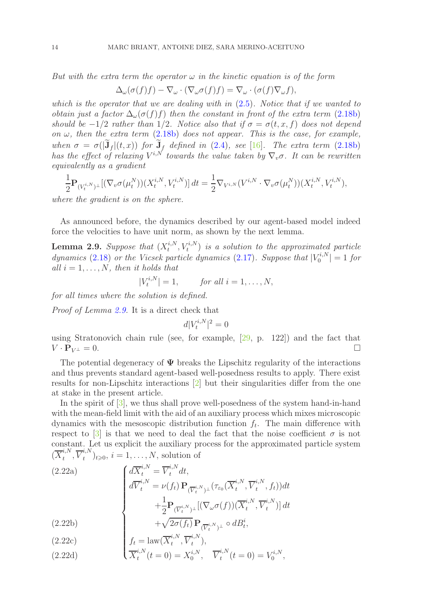But with the extra term the operator  $\omega$  in the kinetic equation is of the form

$$
\Delta_{\omega}(\sigma(f)f) - \nabla_{\omega} \cdot (\nabla_{\omega}\sigma(f)f) = \nabla_{\omega} \cdot (\sigma(f)\nabla_{\omega}f),
$$

which is the operator that we are dealing with in  $(2.5)$ . Notice that if we wanted to obtain just a factor  $\Delta_{\omega}(\sigma(f)f)$  then the constant in front of the extra term [\(2.18b\)](#page-12-2) should be  $-1/2$  rather than 1/2. Notice also that if  $\sigma = \sigma(t, x, f)$  does not depend on  $\omega$ , then the extra term [\(2.18b\)](#page-12-2) does not appear. This is the case, for example, when  $\sigma = \sigma(|\tilde{\mathbf{J}}_f|(t,x))$  for  $\tilde{\mathbf{J}}_f$  defined in [\(2.4\)](#page-7-4), see [\[16\]](#page-37-4). The extra term [\(2.18b\)](#page-12-2) has the effect of relaxing  $V^{i,N}$  towards the value taken by  $\nabla_v \sigma$ . It can be rewritten equivalently as a gradient

$$
\frac{1}{2} \mathbf{P}_{(V_t^{i,N})^\perp} [(\nabla_v \sigma(\mu_t^N))(X_t^{i,N}, V_t^{i,N})] dt = \frac{1}{2} \nabla_{V^{i,N}} (V^{i,N} \cdot \nabla_v \sigma(\mu_t^N))(X_t^{i,N}, V_t^{i,N}),
$$

where the gradient is on the sphere.

As announced before, the dynamics described by our agent-based model indeed force the velocities to have unit norm, as shown by the next lemma.

<span id="page-13-0"></span>**Lemma 2.9.** Suppose that  $(X_t^{i,N})$  $(t_t^{i,N}, V_t^{i,N})$  is a solution to the approximated particle dynamics [\(2.18\)](#page-12-0) or the Vicsek particle dynamics [\(2.17\)](#page-11-2). Suppose that  $|V_0^{i,N}|$  $|r^{i,N}_{0}| = 1$  for all  $i = 1, \ldots, N$ , then it holds that

$$
|V_t^{i,N}| = 1, \qquad \text{for all } i = 1, \dots, N,
$$

for all times where the solution is defined.

Proof of Lemma [2.9.](#page-13-0) It is a direct check that

<span id="page-13-1"></span>
$$
d|V_t^{i,N}|^2 = 0
$$

using Stratonovich chain rule (see, for example, [\[29,](#page-37-17) p. 122]) and the fact that  $V \cdot \mathbf{P}_{V^{\perp}} = 0.$ 

The potential degeneracy of  $\Psi$  breaks the Lipschitz regularity of the interactions and thus prevents standard agent-based well-posedness results to apply. There exist results for non-Lipschitz interactions [\[2\]](#page-36-3) but their singularities differ from the one at stake in the present article.

In the spirit of [\[3\]](#page-36-0), we thus shall prove well-posedness of the system hand-in-hand with the mean-field limit with the aid of an auxiliary process which mixes microscopic dynamics with the mesoscopic distribution function  $f_t$ . The main difference with respect to  $\boxed{3}$  is that we need to deal the fact that the noise coefficient  $\sigma$  is not constant. Let us explicit the auxiliary process for the approximated particle system  $(\overline{X}^{i,N}_t)$  $i, N, \overline{V}_t^{i,N}$  $(t_i^{i,N})_{t\geqslant0}, i=1,\ldots,N$ , solution of

(2.22a)  
\n
$$
\begin{cases}\n d\overline{X}_t^{i,N} = \overline{V}_t^{i,N} dt, \\
 d\overline{V}_t^{i,N} = \nu(f_t) \mathbf{P}_{(\overline{V}_t^{i,N})\perp}(\tau_{\varepsilon_0}(\overline{X}_t^{i,N}, \overline{V}_t^{i,N}, f_t)) dt \\
 + \frac{1}{2} \mathbf{P}_{(\overline{V}_t^{i,N})\perp} [(\nabla_\omega \sigma(f))(\overline{X}_t^{i,N}, \overline{V}_t^{i,N})] dt \\
 + \sqrt{2\sigma(f_t)} \mathbf{P}_{(\overline{V}_t^{i,N})\perp} \circ dB_t^i,\n\end{cases}
$$

(2.22b)  
\n
$$
+ \sqrt{2\sigma(f_t)} \mathbf{P}_{(\overline{V}_t^i)}
$$
\n
$$
f_t = \text{law}(\overline{X}_t^{i,N}, \overline{V}_t^{i,N}),
$$
\n
$$
\overline{X}_t^{i,N}(t=0) = X_0^{i,N}.
$$

(2.22d) 
$$
\overline{X}^{i,N}_t(t=0) = X^{i,N}_0, \quad \overline{V}^{i,N}_t(t=0) = V^{i,N}_0,
$$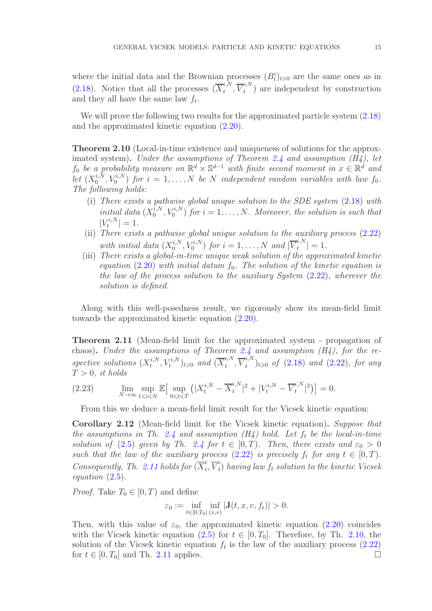where the initial data and the Brownian processes  $(B_t^i)_{t\geqslant0}$  are the same ones as in [\(2.18\)](#page-12-0). Notice that all the processes  $(\overline{X}_t^{i,N})$  $i, N \atop t , \; \overline{V}^{i,N}_t$  $t_t^{(n)}$  are independent by construction and they all have the same law  $f_t$ .

We will prove the following two results for the approximated particle system [\(2.18\)](#page-12-0) and the approximated kinetic equation [\(2.20\)](#page-12-1).

<span id="page-14-0"></span>Theorem 2.10 (Local-in-time existence and uniqueness of solutions for the approx-imated system). Under the assumptions of Theorem [2.4](#page-8-0) and assumption  $(H_4)$ , let  $f_0$  be a probability measure on  $\mathbb{R}^d \times \mathbb{S}^{d-1}$  with finite second moment in  $x \in \mathbb{R}^d$  and let  $(X_0^{i,N})$  $\mathcal{U}_0^{i,N}, V_0^{i,N}$  for  $i = 1, \ldots, N$  be N independent random variables with law  $f_0$ . The following holds:

- (i) There exists a pathwise global unique solution to the SDE system [\(2.18\)](#page-12-0) with initial data  $(X_0^{i,N})$  $\binom{i,N}{0}, V_0^{i,N}$  for  $i = 1, ..., N$ . Moreover, the solution is such that  $|V_t^{i,N}|$  $\left| \frac{t^{i,N}}{t} \right| = 1.$
- (ii) There exists a pathwise global unique solution to the auxiliary process  $(2.22)$ with initial data  $(X_0^{i,N})$  $\mathcal{O}_0^{i,N}, V_0^{i,N}$  for  $i = 1, \ldots, N$  and  $|\overline{V}_t^{i,N}|$  $\left| \frac{t^{(1)}(t)}{t} \right| = 1.$
- (iii) There exists a global-in-time unique weak solution of the approximated kinetic equation  $(2.20)$  with initial datum  $f_0$ . The solution of the kinetic equation is the law of the process solution to the auxiliary System [\(2.22\)](#page-13-1), wherever the solution is defined.

Along with this well-posedness result, we rigorously show its mean-field limit towards the approximated kinetic equation [\(2.20\)](#page-12-1).

<span id="page-14-1"></span>Theorem 2.11 (Mean-field limit for the approximated system - propagation of chaos). Under the assumptions of Theorem [2.4](#page-8-0) and assumption  $(H_4)$ , for the respective solutions  $(X_t^{i,N})$  $(t_t^{i,N}, V_t^{i,N})_{t \geqslant 0}$  and  $(\overline{X}_t^{i,N})$  $i, N, \overline{V}_t^{i,N}$  $(t, t')_{t \geqslant 0}$  of  $(2.18)$  and  $(2.22)$ , for any  $T > 0$ , it holds

(2.23) 
$$
\lim_{N \to \infty} \sup_{1 \le i \le N} \mathbb{E} \big[ \sup_{0 \le t \le T} \big( |X_t^{i,N} - \overline{X}_t^{i,N}|^2 + |V_t^{i,N} - \overline{V}_t^{i,N}|^2 \big) \big] = 0.
$$

<span id="page-14-3"></span>From this we deduce a mean-field limit result for the Vicsek kinetic equation:

<span id="page-14-2"></span>Corollary 2.12 (Mean-field limit for the Vicsek kinetic equation). Suppose that the assumptions in Th. [2.4](#page-8-0) and assumption  $(H_4)$  hold. Let  $f_t$  be the local-in-time solution of [\(2.5\)](#page-7-1) given by Th. [2.4](#page-8-0) for  $t \in [0, T)$ . Then, there exists and  $\varepsilon_0 > 0$ such that the law of the auxiliary process [\(2.22\)](#page-13-1) is precisely  $f_t$  for any  $t \in [0, T)$ . Consequently, Th. [2.11](#page-14-1) holds for  $(\overline{X}_t^i)$  $i \atop t$ ,  $\overline{V}_t^i$  $_{t}^{\leftarrow}$ ) having law  $f_{t}$  solution to the kinetic Vicsek equation [\(2.5\)](#page-7-1).

*Proof.* Take  $T_0 \in [0, T)$  and define

$$
\varepsilon_0 := \inf_{t \in [0,T_0]} \inf_{(x,v)} |J(t,x,v,f_t)| > 0.
$$

Then, with this value of  $\varepsilon_0$ , the approximated kinetic equation [\(2.20\)](#page-12-1) coincides with the Vicsek kinetic equation [\(2.5\)](#page-7-1) for  $t \in [0, T_0]$ . Therefore, by Th. [2.10,](#page-14-0) the solution of the Vicsek kinetic equation  $f_t$  is the law of the auxiliary process  $(2.22)$ for  $t \in [0, T_0]$  and Th. [2.11](#page-14-1) applies.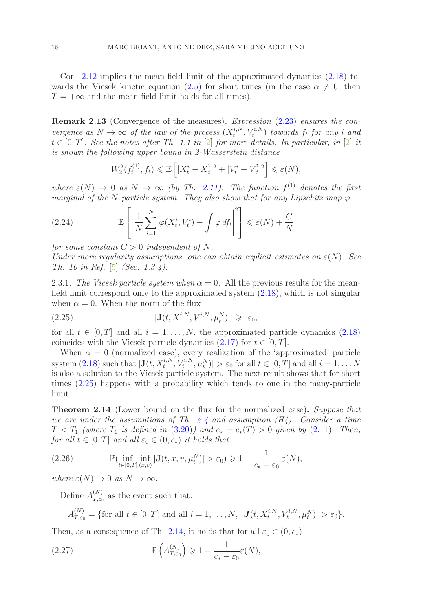Cor. [2.12](#page-14-2) implies the mean-field limit of the approximated dynamics [\(2.18\)](#page-12-0) to-wards the Vicsek kinetic equation [\(2.5\)](#page-7-1) for short times (in the case  $\alpha \neq 0$ , then  $T = +\infty$  and the mean-field limit holds for all times).

Remark 2.13 (Convergence of the measures). Expression [\(2.23\)](#page-14-3) ensures the convergence as  $N \to \infty$  of the law of the process  $(X_t^{i,N})$  $(t_t^{i,N}, V_t^{i,N})$  towards  $f_t$  for any i and  $t \in [0, T]$ . See the notes after Th. 1.1 in  $[2]$  for more details. In particular, in  $[2]$  it is shown the following upper bound in 2-Wasserstein distance

$$
W_2^2(f_t^{(1)}, f_t) \le \mathbb{E}\left[|X_t^i - \overline{X}_t^i|^2 + |V_t^i - \overline{V}_t^i|^2\right] \le \varepsilon(N),
$$

where  $\varepsilon(N) \to 0$  as  $N \to \infty$  (by Th. [2.11\)](#page-14-1). The function  $f^{(1)}$  denotes the first marginal of the N particle system. They also show that for any Lipschitz map  $\varphi$ 

(2.24) 
$$
\mathbb{E}\left[\left|\frac{1}{N}\sum_{i=1}^{N}\varphi(X_t^i,V_t^i)-\int\varphi\,df_t\right|^2\right]\leq \varepsilon(N)+\frac{C}{N}
$$

for some constant  $C > 0$  independent of N.

Under more regularity assumptions, one can obtain explicit estimates on  $\varepsilon(N)$ . See Th. 10 in Ref. [\[5\]](#page-36-7) (Sec. 1.3.4).

2.3.1. The Vicsek particle system when  $\alpha = 0$ . All the previous results for the meanfield limit correspond only to the approximated system [\(2.18\)](#page-12-0), which is not singular when  $\alpha = 0$ . When the norm of the flux

<span id="page-15-1"></span>(2.25) 
$$
|\mathbf{J}(t, X^{i,N}, V^{i,N}, \mu_t^N)| \geq \varepsilon_0,
$$

for all  $t \in [0, T]$  and all  $i = 1, ..., N$ , the approximated particle dynamics  $(2.18)$ coincides with the Vicsek particle dynamics  $(2.17)$  for  $t \in [0, T]$ .

When  $\alpha = 0$  (normalized case), every realization of the 'approximated' particle system [\(2.18\)](#page-12-0) such that  $|\mathbf{J}(t, X_t^{i,N}, V_t^{i,N}, \mu_t^N)| > \varepsilon_0$  for all  $t \in [0, T]$  and all  $i = 1, ..., N$ is also a solution to the Vicsek particle system. The next result shows that for short times [\(2.25\)](#page-15-1) happens with a probability which tends to one in the many-particle limit:

<span id="page-15-0"></span>Theorem 2.14 (Lower bound on the flux for the normalized case). Suppose that we are under the assumptions of Th. [2.4](#page-8-0) and assumption  $(H_4)$ . Consider a time  $T < T_1$  (where  $T_1$  is defined in [\(3.20\)](#page-24-2)) and  $c_* = c_*(T) > 0$  given by [\(2.11\)](#page-9-0). Then, for all  $t \in [0, T]$  and all  $\varepsilon_0 \in (0, c_*)$  it holds that

<span id="page-15-3"></span>(2.26) 
$$
\mathbb{P}(\inf_{t\in[0,T]} \inf_{(x,v)} |\mathbf{J}(t,x,v,\mu_t^N)| > \varepsilon_0) \geq 1 - \frac{1}{c_* - \varepsilon_0} \varepsilon(N),
$$

where  $\varepsilon(N) \to 0$  as  $N \to \infty$ .

Define  $A_{T,\varepsilon}^{(N)}$  $T_{,\varepsilon_0}^{(N)}$  as the event such that:

<span id="page-15-2"></span>
$$
A_{T,\varepsilon_0}^{(N)} = \{ \text{for all } t \in [0,T] \text{ and all } i = 1,\ldots,N, \left| \mathbf{J}(t, X_t^{i,N}, V_t^{i,N}, \mu_t^N) \right| > \varepsilon_0 \}.
$$

Then, as a consequence of Th. [2.14,](#page-15-0) it holds that for all  $\varepsilon_0 \in (0, c_*)$ 

(2.27) 
$$
\mathbb{P}\left(A_{T,\varepsilon_0}^{(N)}\right) \geq 1 - \frac{1}{c_* - \varepsilon_0} \varepsilon(N),
$$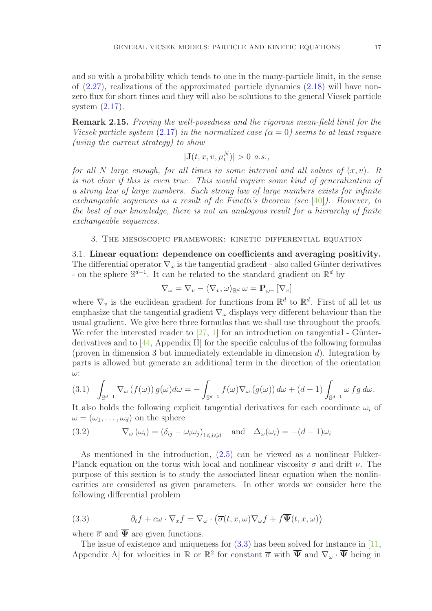and so with a probability which tends to one in the many-particle limit, in the sense of  $(2.27)$ , realizations of the approximated particle dynamics  $(2.18)$  will have nonzero flux for short times and they will also be solutions to the general Vicsek particle system [\(2.17\)](#page-11-2).

Remark 2.15. Proving the well-posedness and the rigorous mean-field limit for the Vicsek particle system [\(2.17\)](#page-11-2) in the normalized case ( $\alpha = 0$ ) seems to at least require (using the current strategy) to show

$$
|\mathbf{J}(t,x,v,\mu_t^N)| > 0 \ a.s.,
$$

for all N large enough, for all times in some interval and all values of  $(x, v)$ . It is not clear if this is even true. This would require some kind of generalization of a strong law of large numbers. Such strong law of large numbers exists for infinite exchangeable sequences as a result of de Finetti's theorem (see [\[40\]](#page-38-17)). However, to the best of our knowledge, there is not an analogous result for a hierarchy of finite exchangeable sequences.

### <span id="page-16-0"></span>3. The mesoscopic framework: kinetic differential equation

<span id="page-16-1"></span>3.1. Linear equation: dependence on coefficients and averaging positivity. The differential operator  $\nabla_{\omega}$  is the tangential gradient - also called Günter derivatives - on the sphere  $\mathbb{S}^{d-1}$ . It can be related to the standard gradient on  $\mathbb{R}^d$  by

$$
\nabla_{\omega} = \nabla_{v} - \langle \nabla_{v}, \omega \rangle_{\mathbb{R}^{d}} \, \omega = \mathbf{P}_{\omega^{\perp}} \left[ \nabla_{v} \right]
$$

where  $\nabla_v$  is the euclidean gradient for functions from  $\mathbb{R}^d$  to  $\mathbb{R}^d$ . First of all let us emphasize that the tangential gradient  $\nabla_{\omega}$  displays very different behaviour than the usual gradient. We give here three formulas that we shall use throughout the proofs. We refer the interested reader to  $[27, 1]$  $[27, 1]$  for an introduction on tangential - Günterderivatives and to [\[44,](#page-38-18) Appendix II] for the specific calculus of the following formulas (proven in dimension 3 but immediately extendable in dimension  $d$ ). Integration by parts is allowed but generate an additional term in the direction of the orientation ω:

<span id="page-16-3"></span>
$$
(3.1) \quad \int_{\mathbb{S}^{d-1}} \nabla_{\omega} \left( f(\omega) \right) g(\omega) d\omega = - \int_{\mathbb{S}^{d-1}} f(\omega) \nabla_{\omega} \left( g(\omega) \right) d\omega + (d-1) \int_{\mathbb{S}^{d-1}} \omega \, f g \, d\omega.
$$

It also holds the following explicit tangential derivatives for each coordinate  $\omega_i$  of  $\omega = (\omega_1, \ldots, \omega_d)$  on the sphere

<span id="page-16-4"></span>(3.2) 
$$
\nabla_{\omega} (\omega_i) = (\delta_{ij} - \omega_i \omega_j)_{1 \leq j \leq d} \text{ and } \Delta_{\omega} (\omega_i) = -(d-1)\omega_i
$$

As mentioned in the introduction, [\(2.5\)](#page-7-1) can be viewed as a nonlinear Fokker-Planck equation on the torus with local and nonlinear viscosity  $\sigma$  and drift  $\nu$ . The purpose of this section is to study the associated linear equation when the nonlinearities are considered as given parameters. In other words we consider here the following differential problem

<span id="page-16-2"></span>(3.3) 
$$
\partial_t f + c\omega \cdot \nabla_x f = \nabla_\omega \cdot (\overline{\sigma}(t, x, \omega) \nabla_\omega f + f \overline{\Psi}(t, x, \omega))
$$

where  $\overline{\sigma}$  and  $\overline{\Psi}$  are given functions.

The issue of existence and uniqueness for  $(3.3)$  has been solved for instance in [\[11,](#page-37-19)] Appendix A] for velocities in  $\mathbb R$  or  $\mathbb R^2$  for constant  $\overline{\sigma}$  with  $\overline{\Psi}$  and  $\nabla_\omega \cdot \overline{\Psi}$  being in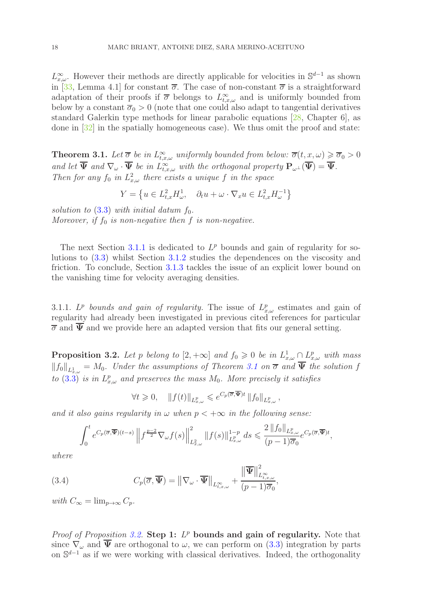$L_{x,\omega}^{\infty}$ . However their methods are directly applicable for velocities in S<sup>d-1</sup> as shown in [\[33,](#page-38-0) Lemma 4.1] for constant  $\overline{\sigma}$ . The case of non-constant  $\overline{\sigma}$  is a straightforward adaptation of their proofs if  $\overline{\sigma}$  belongs to  $L_{t,x,\omega}^{\infty}$  and is uniformly bounded from below by a constant  $\overline{\sigma}_0 > 0$  (note that one could also adapt to tangential derivatives standard Galerkin type methods for linear parabolic equations [\[28,](#page-37-20) Chapter 6], as done in [\[32\]](#page-38-1) in the spatially homogeneous case). We thus omit the proof and state:

<span id="page-17-1"></span>**Theorem 3.1.** Let  $\overline{\sigma}$  be in  $L_{t,x,\omega}^{\infty}$  uniformly bounded from below:  $\overline{\sigma}(t,x,\omega) \geq \overline{\sigma}_0 > 0$ and let  $\overline{\Psi}$  and  $\nabla_{\omega} \cdot \overline{\Psi}$  be in  $L^{\infty}_{t,x,\omega}$  with the orthogonal property  $\mathbf{P}_{\omega} \cdot (\overline{\Psi}) = \overline{\Psi}$ . Then for any  $f_0$  in  $L^2_{x,\omega}$  there exists a unique f in the space

$$
Y = \left\{ u \in L_{t,x}^2 H_{\omega}^1, \quad \partial_t u + \omega \cdot \nabla_x u \in L_{t,x}^2 H_{\omega}^{-1} \right\}
$$

solution to  $(3.3)$  with initial datum  $f_0$ . Moreover, if  $f_0$  is non-negative then f is non-negative.

The next Section [3.1.1](#page-17-0) is dedicated to  $L^p$  bounds and gain of regularity for solutions to [\(3.3\)](#page-16-2) whilst Section [3.1.2](#page-19-2) studies the dependences on the viscosity and friction. To conclude, Section [3.1.3](#page-21-0) tackles the issue of an explicit lower bound on the vanishing time for velocity averaging densities.

<span id="page-17-0"></span>3.1.1.  $L^p$  bounds and gain of regularity. The issue of  $L^p_{x,\omega}$  estimates and gain of regularity had already been investigated in previous cited references for particular  $\overline{\sigma}$  and  $\overline{\Psi}$  and we provide here an adapted version that fits our general setting.

<span id="page-17-2"></span>**Proposition 3.2.** Let p belong to  $[2, +\infty]$  and  $f_0 \geq 0$  be in  $L^1_{x,\omega} \cap L^p_{x,\omega}$  with mass  $||f_0||_{L^1_{x,\omega}} = M_0$ . Under the assumptions of Theorem [3.1](#page-17-1) on  $\overline{\sigma}$  and  $\Psi$  the solution f to [\(3.3\)](#page-16-2) is in  $L^p_{x,\omega}$  and preserves the mass  $M_0$ . More precisely it satisfies

$$
\forall t \geq 0, \quad \|f(t)\|_{L^p_{x,\omega}} \leqslant e^{C_p(\overline{\sigma}, \overline{\Psi})t} \|f_0\|_{L^p_{x,\omega}},
$$

and it also gains regularity in  $\omega$  when  $p < +\infty$  in the following sense:

<span id="page-17-3"></span>
$$
\int_0^t e^{C_p(\overline{\sigma}, \overline{\Psi})(t-s)} \left\| f^{\frac{p-2}{2}} \nabla_{\omega} f(s) \right\|_{L^2_{x,\omega}}^2 \|f(s)\|_{L^p_{x,\omega}}^{1-p} ds \leq \frac{2 \left\| f_0 \right\|_{L^p_{x,\omega}}}{(p-1)\overline{\sigma}_0} e^{C_p(\overline{\sigma}, \overline{\Psi})t},
$$

where

(3.4) 
$$
C_p(\overline{\sigma}, \overline{\Psi}) = ||\nabla_{\omega} \cdot \overline{\Psi}||_{L^{\infty}_{t,x,\omega}} + \frac{||\overline{\Psi}||^2_{L^{\infty}_{t,x,\omega}}}{(p-1)\overline{\sigma}_0},
$$

with  $C_{\infty} = \lim_{n \to \infty} C_n$ .

Proof of Proposition [3.2.](#page-17-2) Step 1:  $L^p$  bounds and gain of regularity. Note that since  $\nabla_{\omega}$  and  $\Psi$  are orthogonal to  $\omega$ , we can perform on [\(3.3\)](#page-16-2) integration by parts on S<sup>d-1</sup> as if we were working with classical derivatives. Indeed, the orthogonality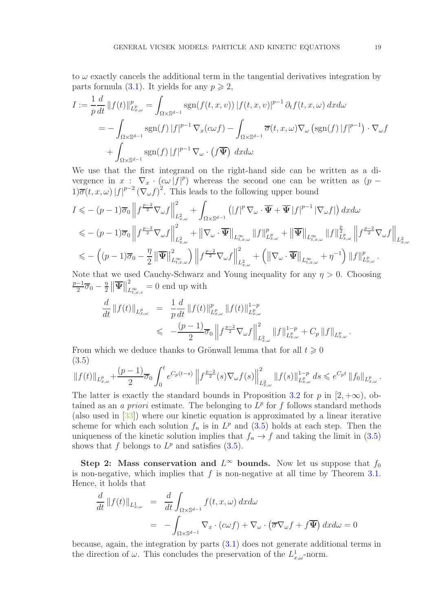to  $\omega$  exactly cancels the additional term in the tangential derivatives integration by parts formula [\(3.1\)](#page-16-3). It yields for any  $p \geq 2$ ,

$$
I := \frac{1}{p} \frac{d}{dt} ||f(t)||_{L_{x,\omega}^p}^p = \int_{\Omega \times \mathbb{S}^{d-1}} \operatorname{sgn}(f(t,x,v)) |f(t,x,v)|^{p-1} \partial_t f(t,x,\omega) dx d\omega
$$
  
= 
$$
- \int_{\Omega \times \mathbb{S}^{d-1}} \operatorname{sgn}(f) |f|^{p-1} \nabla_x (c\omega f) - \int_{\Omega \times \mathbb{S}^{d-1}} \overline{\sigma}(t,x,\omega) \nabla_\omega (\operatorname{sgn}(f) |f|^{p-1}) \cdot \nabla_\omega f
$$
  
+ 
$$
\int_{\Omega \times \mathbb{S}^{d-1}} \operatorname{sgn}(f) |f|^{p-1} \nabla_\omega \cdot (f\overline{\Psi}) dx d\omega
$$

We use that the first integrand on the right-hand side can be written as a divergence in  $x : \nabla_x \cdot (c\omega |f|^p)$  whereas the second one can be written as  $(p 1\overline{\sigma}(t,x,\omega)|f|^{p-2}(\nabla_{\omega}f)^2$ . This leads to the following upper bound

$$
I \leqslant -(p-1)\overline{\sigma}_{0} \left\|f^{\frac{p-2}{2}}\nabla_{\omega}f\right\|_{L_{x,\omega}^{2}}^{2} + \int_{\Omega \times \mathbb{S}^{d-1}} \left(|f|^{p}\nabla_{\omega} \cdot \overline{\Psi} + \overline{\Psi}|f|^{p-1}|\nabla_{\omega}f|\right) dxd\omega
$$
  
\n
$$
\leqslant -(p-1)\overline{\sigma}_{0} \left\|f^{\frac{p-2}{2}}\nabla_{\omega}f\right\|_{L_{x,\omega}^{2}}^{2} + \left\|\nabla_{\omega} \cdot \overline{\Psi}\right\|_{L_{t,x,\omega}^{\infty}} \left\|f\right\|_{L_{x,\omega}^{\infty}}^{p} + \left\|\overline{\Psi}\right\|_{L_{t,x,\omega}^{\infty}} \left\|f\right\|_{L_{x,\omega}^{p}}^{2} + \left\|\overline{\Psi}\right\|_{L_{t,x,\omega}^{\infty}} \left\|f\right\|_{L_{x,\omega}^{p}}^{2} \left\|f^{\frac{p-2}{2}}\nabla_{\omega}f\right\|_{L_{x,\omega}^{2}}^{2}
$$
  
\n
$$
\leqslant -\left((p-1)\overline{\sigma}_{0} - \frac{\eta}{2}\left\|\overline{\Psi}\right\|_{L_{t,x,\omega}^{\infty}}^{2}\right) \left\|f^{\frac{p-2}{2}}\nabla_{\omega}f\right\|_{L_{x,\omega}^{2}}^{2} + \left(\left\|\nabla_{\omega} \cdot \overline{\Psi}\right\|_{L_{t,x,\omega}^{\infty}} + \eta^{-1}\right) \left\|f\right\|_{L_{x,\omega}^{p}}^{p}.
$$

Note that we used Cauchy-Schwarz and Young inequality for any  $\eta > 0$ . Choosing  $p-1$  $\frac{-1}{2}\overline{\sigma}_0-\frac{\eta}{2}$  $\frac{\eta}{2}\left\Vert \overline{\Psi}\right\Vert$ 2  $\sum_{L_{t,x,v}^{\infty}}^{\infty} = 0$  end up with

$$
\frac{d}{dt} ||f(t)||_{L_{x,\omega}^p} = \frac{1}{p} \frac{d}{dt} ||f(t)||_{L_{x,\omega}^p}^p ||f(t)||_{L_{x,\omega}^p}^{1-p} \n\leqslant -\frac{(p-1)}{2} \overline{\sigma}_0 \left\| f^{\frac{p-2}{2}} \nabla_\omega f \right\|_{L_{x,\omega}^2}^2 ||f||_{L_{x,\omega}^p}^{1-p} + C_p ||f||_{L_{x,\omega}^p}.
$$

From which we deduce thanks to Grönwall lemma that for all  $t \geq 0$ (3.5)

<span id="page-18-0"></span>
$$
\|f(t)\|_{L^p_{x,\omega}} + \frac{(p-1)}{2}\overline{\sigma}_0 \int_0^t e^{C_p(t-s)} \left\| f^{\frac{p-2}{2}}(s)\nabla_\omega f(s) \right\|_{L^2_{x,\omega}}^2 \|f(s)\|_{L^p_{x,\omega}}^{1-p} ds \leqslant e^{C_p t} \|f_0\|_{L^p_{x,\omega}}.
$$

The latter is exactly the standard bounds in Proposition [3.2](#page-17-2) for p in  $[2, +\infty)$ , obtained as an *a priori* estimate. The belonging to  $L^p$  for f follows standard methods (also used in [\[33\]](#page-38-0)) where our kinetic equation is approximated by a linear iterative scheme for which each solution  $f_n$  is in  $L^p$  and  $(3.5)$  holds at each step. Then the uniqueness of the kinetic solution implies that  $f_n \to f$  and taking the limit in [\(3.5\)](#page-18-0) shows that f belongs to  $L^p$  and satisfies  $(3.5)$ .

Step 2: Mass conservation and  $L^{\infty}$  bounds. Now let us suppose that  $f_0$ is non-negative, which implies that  $f$  is non-negative at all time by Theorem [3.1.](#page-17-1) Hence, it holds that

$$
\frac{d}{dt} ||f(t)||_{L^1_{x,\omega}} = \frac{d}{dt} \int_{\Omega \times \mathbb{S}^{d-1}} f(t, x, \omega) dx d\omega
$$
  
= 
$$
- \int_{\Omega \times \mathbb{S}^{d-1}} \nabla_x \cdot (c\omega f) + \nabla_\omega \cdot (\overline{\sigma} \nabla_\omega f + f \overline{\Psi}) dx d\omega = 0
$$

because, again, the integration by parts [\(3.1\)](#page-16-3) does not generate additional terms in the direction of  $\omega$ . This concludes the preservation of the  $L^1_{x,\omega}$ -norm.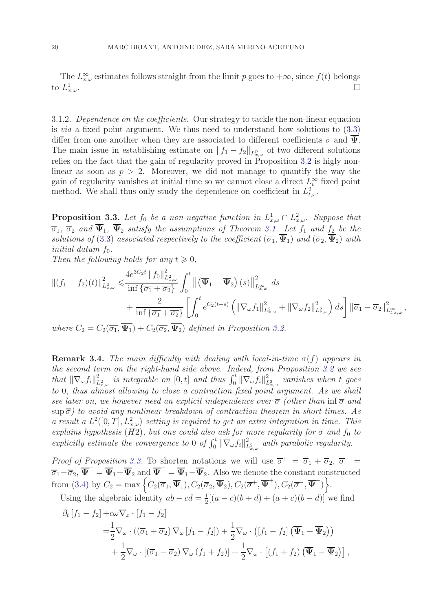The  $L_{x,\omega}^{\infty}$  estimates follows straight from the limit p goes to  $+\infty$ , since  $f(t)$  belongs to  $L^1_x$  $\frac{1}{x,\omega}$ .

<span id="page-19-2"></span>3.1.2. Dependence on the coefficients. Our strategy to tackle the non-linear equation is via a fixed point argument. We thus need to understand how solutions to [\(3.3\)](#page-16-2) differ from one another when they are associated to different coefficients  $\bar{\sigma}$  and  $\bar{\Psi}$ . The main issue in establishing estimate on  $||f_1 - f_2||_{L^p_{x,\omega}}$  of two different solutions relies on the fact that the gain of regularity proved in Proposition [3.2](#page-17-2) is higly nonlinear as soon as  $p > 2$ . Moreover, we did not manage to quantify the way the gain of regularity vanishes at initial time so we cannot close a direct  $L_t^{\infty}$  fixed point method. We shall thus only study the dependence on coefficient in  $L^2_{t,x}$ .

<span id="page-19-0"></span>**Proposition 3.3.** Let  $f_0$  be a non-negative function in  $L^1_{x,\omega} \cap L^2_{x,\omega}$ . Suppose that  $\overline{\sigma}_1$ ,  $\overline{\sigma}_2$  and  $\Psi_1$ ,  $\Psi_2$  satisfy the assumptions of Theorem [3.1.](#page-17-1) Let  $f_1$  and  $f_2$  be the solutions of [\(3.3\)](#page-16-2) associated respectively to the coefficient  $(\overline{\sigma}_1, \Psi_1)$  and  $(\overline{\sigma}_2, \Psi_2)$  with initial datum  $f_0$ .

Then the following holds for any  $t \geq 0$ ,

$$
\begin{split} \left\| (f_1 - f_2)(t) \right\|_{L^2_{x,\omega}}^2 &\leq \frac{4e^{3C_2t} \left\| f_0 \right\|_{L^2_{x,\omega}}^2}{\inf \left\{ \overline{\sigma_1} + \overline{\sigma_2} \right\}} \int_0^t \left\| \left( \overline{\Psi}_1 - \overline{\Psi}_2 \right)(s) \right\|_{L^{\infty}_{x,\omega}}^2 ds \\ &\quad + \frac{2}{\inf \left\{ \overline{\sigma_1} + \overline{\sigma_2} \right\}} \left[ \int_0^t e^{C_2(t-s)} \left( \left\| \nabla_\omega f_1 \right\|_{L^2_{x,\omega}}^2 + \left\| \nabla_\omega f_2 \right\|_{L^2_{x,\omega}}^2 \right) ds \right] \left\| \overline{\sigma}_1 - \overline{\sigma}_2 \right\|_{L^{\infty}_{t,x,\omega}}^2, \end{split}
$$

where  $C_2 = C_2(\overline{\sigma_1}, \overline{\Psi_1}) + C_2(\overline{\sigma_2}, \overline{\Psi_2})$  defined in Proposition [3.2.](#page-17-2)

<span id="page-19-1"></span>**Remark 3.4.** The main difficulty with dealing with local-in-time  $\sigma(f)$  appears in the second term on the right-hand side above. Indeed, from Proposition [3.2](#page-17-2) we see that  $\|\nabla_{\omega} f_i\|_{L^2}^2$  $\frac{2}{L_{x,\omega}^2}$  is integrable on  $[0,t]$  and thus  $\int_0^t \|\nabla_{\omega} f_i\|_L^2$  $\stackrel{2}{L_{x,\omega}^2}$  vanishes when t goes to 0, thus almost allowing to close a contraction fixed point argument. As we shall see later on, we however need an explicit independence over  $\overline{\sigma}$  (other than inf $\overline{\sigma}$  and  $\sup \overline{\sigma}$ ) to avoid any nonlinear breakdown of contraction theorem in short times. As a result a  $L^2([0,T], L^2_{x,\omega})$  setting is required to get an extra integration in time. This explains hypothesis (H2), but one could also ask for more regularity for  $\sigma$  and  $f_0$  to explicitly estimate the convergence to 0 of  $\int_0^t \|\nabla_\omega f_i\|_L^2$  $L_{L_{x,\omega}}^2$  with parabolic regularity.

Proof of Proposition [3.3.](#page-19-0) To shorten notations we will use  $\overline{\sigma}^+ = \overline{\sigma}_1 + \overline{\sigma}_2$ ,  $\overline{\sigma}^ \overline{\sigma}_1-\overline{\sigma}_2, \overline{\Psi}^+=\overline{\Psi}_1+\overline{\Psi}_2$  and  $\overline{\Psi}^-=\overline{\Psi}_1-\overline{\Psi}_2$ . Also we denote the constant constructed from [\(3.4\)](#page-17-3) by  $C_2 = \max \left\{ C_2(\overline{\sigma}_1, \overline{\Psi}_1), C_2(\overline{\sigma}_2, \overline{\Psi}_2), C_2(\overline{\sigma}^+, \overline{\Psi}^+), C_2(\overline{\sigma}^-, \overline{\Psi}^-) \right\}.$ 

Using the algebraic identity  $ab - cd = \frac{1}{2}$  $\frac{1}{2}[(a-c)(b+d) + (a+c)(b-d)]$  we find

$$
\partial_t [f_1 - f_2] + c\omega \nabla_x \cdot [f_1 - f_2]
$$
\n
$$
= \frac{1}{2} \nabla_\omega \cdot ((\overline{\sigma}_1 + \overline{\sigma}_2) \nabla_\omega [f_1 - f_2]) + \frac{1}{2} \nabla_\omega \cdot ([f_1 - f_2] (\overline{\Psi}_1 + \overline{\Psi}_2))
$$
\n
$$
+ \frac{1}{2} \nabla_\omega \cdot [(\overline{\sigma}_1 - \overline{\sigma}_2) \nabla_\omega (f_1 + f_2)] + \frac{1}{2} \nabla_\omega \cdot [(f_1 + f_2) (\overline{\Psi}_1 - \overline{\Psi}_2)],
$$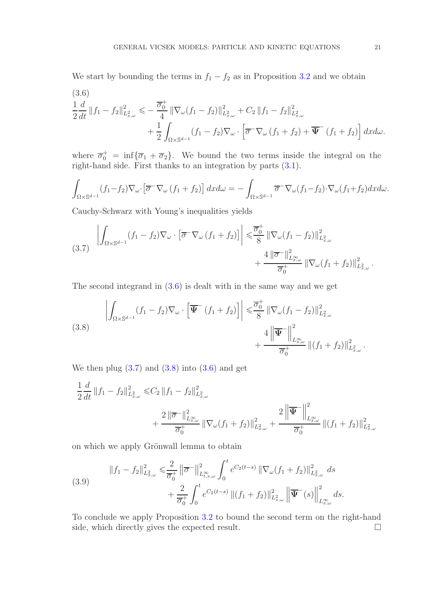We start by bounding the terms in  $f_1 - f_2$  as in Proposition [3.2](#page-17-2) and we obtain

<span id="page-20-0"></span>
$$
(3.6)
$$
\n
$$
\frac{1}{2} \frac{d}{dt} ||f_1 - f_2||_{L^2_{x,\omega}}^2 \leq -\frac{\overline{\sigma}_0^+}{4} ||\nabla_\omega (f_1 - f_2)||_{L^2_{x,\omega}}^2 + C_2 ||f_1 - f_2||_{L^2_{x,\omega}}^2 + \frac{1}{2} \int_{\Omega \times \mathbb{S}^{d-1}} (f_1 - f_2) \nabla_\omega \cdot \left[ \overline{\sigma}^- \nabla_\omega (f_1 + f_2) + \overline{\Psi}^- (f_1 + f_2) \right] dx d\omega.
$$

where  $\overline{\sigma}_0^+$  = inf $\{\overline{\sigma}_1 + \overline{\sigma}_2\}$ . We bound the two terms inside the integral on the right-hand side. First thanks to an integration by parts [\(3.1\)](#page-16-3).

$$
\int_{\Omega\times\mathbb{S}^{d-1}} (f_1-f_2)\nabla_\omega\cdot\left[\overline{\sigma}^-\nabla_\omega\left(f_1+f_2\right)\right]dxd\omega=-\int_{\Omega\times\mathbb{S}^{d-1}}\overline{\sigma}^-\nabla_\omega(f_1-f_2)\cdot\nabla_\omega(f_1+f_2)dxd\omega.
$$

Cauchy-Schwarz with Young's inequalities yields

<span id="page-20-1"></span>
$$
(3.7) \left| \int_{\Omega \times \mathbb{S}^{d-1}} (f_1 - f_2) \nabla_\omega \cdot \left[ \overline{\sigma}^{\mathbb{T}} \nabla_\omega (f_1 + f_2) \right] \right| \leq \frac{\overline{\sigma}_0^+}{8} \left\| \nabla_\omega (f_1 - f_2) \right\|_{L^2_{x,\omega}}^2 + \frac{4 \left\| \overline{\sigma}^{\mathbb{T}} \right\|_{L^{\infty}_{x,\omega}}^2}{\overline{\sigma}_0^{\mathbb{T}}} \left\| \nabla_\omega (f_1 + f_2) \right\|_{L^2_{x,\omega}}^2.
$$

The second integrand in [\(3.6\)](#page-20-0) is dealt with in the same way and we get

<span id="page-20-2"></span>(3.8) 
$$
\left| \int_{\Omega \times \mathbb{S}^{d-1}} (f_1 - f_2) \nabla_{\omega} \cdot \left[ \overline{\Psi}^-(f_1 + f_2) \right] \right| \leq \frac{\overline{\sigma}_0^+}{8} \left\| \nabla_{\omega} (f_1 - f_2) \right\|_{L^2_{x,\omega}}^2 + \frac{4 \left\| \overline{\Psi}^-\right\|_{L^{\infty}_{x,\omega}}^2}{\overline{\sigma}_0^+} \left\| (f_1 + f_2) \right\|_{L^2_{x,\omega}}^2.
$$

We then plug  $(3.7)$  and  $(3.8)$  into  $(3.6)$  and get

$$
\frac{1}{2}\frac{d}{dt}\left\|f_{1}-f_{2}\right\|_{L_{x,\omega}^{2}}^{2} \leq C_{2}\left\|f_{1}-f_{2}\right\|_{L_{x,\omega}^{2}}^{2} \n+ \frac{2\left\|\overline{\sigma}^{-}\right\|_{L_{x,\omega}^{\infty}}^{2}}{\overline{\sigma}_{0}^{+}}\left\|\nabla_{\omega}(f_{1}+f_{2})\right\|_{L_{x,\omega}^{2}}^{2} + \frac{2\left\|\overline{\Psi}^{-}\right\|_{L_{x,\omega}^{\infty}}^{2}}{\overline{\sigma}_{0}^{+}}\left\|(f_{1}+f_{2})\right\|_{L_{x,\omega}^{2}}^{2}
$$

on which we apply Grönwall lemma to obtain

(3.9) 
$$
||f_1 - f_2||_{L^2_{x,\omega}}^2 \leq \frac{2}{\overline{\sigma}_0^+} ||\overline{\sigma}^-||_{L^{\infty}_{t,x,\omega}}^2 \int_0^t e^{C_2(t-s)} ||\nabla_{\omega}(f_1 + f_2)||_{L^2_{x,\omega}}^2 ds + \frac{2}{\overline{\sigma}_0^+} \int_0^t e^{C_2(t-s)} ||(f_1 + f_2)||_{L^2_{x,\omega}}^2 ||\overline{\Psi}^-(s)||_{L^{\infty}_{x,\omega}}^2 ds.
$$

To conclude we apply Proposition [3.2](#page-17-2) to bound the second term on the right-hand side, which directly gives the expected result.  $\Box$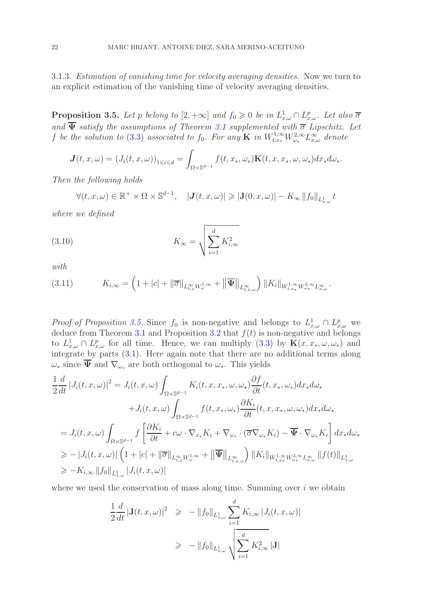<span id="page-21-0"></span>3.1.3. Estimation of vanishing time for velocity averaging densities. Now we turn to an explicit estimation of the vanishing time of velocity averaging densities.

<span id="page-21-1"></span>**Proposition 3.5.** Let p belong to  $[2, +\infty]$  and  $f_0 \geq 0$  be in  $L^1_{x,\omega} \cap L^p_{x,\omega}$ . Let also  $\overline{\sigma}$ and  $\overline{\Psi}$  satisfy the assumptions of Theorem [3.1](#page-17-1) supplemented with  $\overline{\sigma}$  Lipschitz. Let f be the solution to [\(3.3\)](#page-16-2) associated to  $f_0$ . For any  $\mathbf K$  in  $W^{1,\infty}_{t,x_*}W^{2,\infty}_{\omega_*}L^\infty_{x,\omega}$  denote

$$
\mathbf{J}(t,x,\omega)=(J_i(t,x,\omega))_{1\leqslant i\leqslant d}=\int_{\Omega\times\mathbb{S}^{d-1}}f(t,x_*,\omega_*)\mathbf{K}(t,x,x_*,\omega,\omega_*)dx_*d\omega_*.
$$

Then the following holds

<span id="page-21-2"></span> $\forall (t, x, \omega) \in \mathbb{R}^+ \times \Omega \times \mathbb{S}^{d-1}, \quad |\mathbf{J}(t, x, \omega)| \geqslant |\mathbf{J}(0, x, \omega)| - K_{\infty} ||f_0||_{L^1_{x, \omega}} t$ 

where we defined

(3.10) 
$$
K_{\infty} = \sqrt{\sum_{i=1}^{d} K_{i,\infty}^{2}}
$$

with

$$
(3.11) \t K_{i,\infty} = \left(1 + |c| + \|\overline{\sigma}\|_{L_{t,x}^{\infty} W_{\omega}^{1,\infty}} + \|\overline{\Psi}\|_{L_{t,x,\omega}^{\infty}}\right) \|K_i\|_{W_{t,x_*}^{1,\infty} W_{\omega_*}^{2,\infty} L_{x,\omega}^{\infty}}.
$$

*Proof of Proposition [3.5.](#page-21-1)* Since  $f_0$  is non-negative and belongs to  $L^1_{x,\omega} \cap L^p_{x,\omega}$  we deduce from Theorem [3.1](#page-17-1) and Proposition [3.2](#page-17-2) that  $f(t)$  is non-negative and belongs to  $L^1_{x,\omega} \cap L^p_{x,\omega}$  for all time. Hence, we can multiply [\(3.3\)](#page-16-2) by  $\mathbf{K}(x, x_*, \omega, \omega_*)$  and integrate by parts [\(3.1\)](#page-16-3). Here again note that there are no additional terms along  $\omega_*$  since  $\overline{\Psi}$  and  $\nabla_{\omega_*}$  are both orthogonal to  $\omega_*$ . This yields

$$
\frac{1}{2}\frac{d}{dt}|J_i(t, x, \omega)|^2 = J_i(t, x, \omega) \int_{\Omega \times \mathbb{S}^{d-1}} K_i(t, x, x_*, \omega, \omega_*) \frac{\partial f}{\partial t}(t, x_*, \omega_*) dx_* d\omega_*\n+ J_i(t, x, \omega) \int_{\Omega \times \mathbb{S}^{d-1}} f(t, x_*, \omega_*) \frac{\partial K_i}{\partial t}(t, x, x_*, \omega, \omega_*) dx_* d\omega_*\n= J_i(t, x, \omega) \int_{\Omega \times \mathbb{S}^{d-1}} f\left[\frac{\partial K_i}{\partial t} + c\omega \cdot \nabla_{x_*} K_i + \nabla_{\omega_*} \cdot (\overline{\sigma} \nabla_{\omega_*} K_i) - \overline{\Psi} \cdot \nabla_{\omega_*} K_i\right] dx_* d\omega_*\n\ge -|J_i(t, x, \omega)| \left(1 + |c| + ||\overline{\sigma}||_{L^\infty_{t, x}} W^{1, \infty}_\omega + ||\overline{\Psi}||_{L^\infty_{t, x, \omega}}\right) ||K_i||_{W^{1, \infty}_{t, x}} W^{2, \infty}_{\omega_*} L^\infty_{x, \omega} ||f(t)||_{L^1_{x, \omega}}\n\ge -K_{i, \infty} ||f_0||_{L^1_{x, \omega}} |J_i(t, x, \omega)|
$$

where we used the conservation of mass along time. Summing over  $i$  we obtain

$$
\frac{1}{2} \frac{d}{dt} |\mathbf{J}(t, x, \omega)|^2 \geq - \|f_0\|_{L^1_{x, \omega}} \sum_{i=1}^d K_{i, \infty} |J_i(t, x, \omega)|
$$
  
\n
$$
\geq - \|f_0\|_{L^1_{x, \omega}} \sqrt{\sum_{i=1}^d K_{i, \infty}^2 |\mathbf{J}|}
$$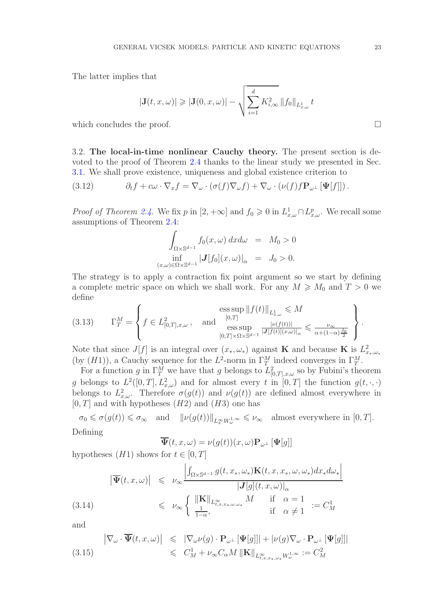The latter implies that

$$
|\mathbf{J}(t,x,\omega)| \geqslant |\mathbf{J}(0,x,\omega)| - \sqrt{\sum_{i=1}^d K_{i,\infty}^2 \|f_0\|_{L_{x,\omega}^1}} t
$$

which concludes the proof.

<span id="page-22-0"></span>3.2. The local-in-time nonlinear Cauchy theory. The present section is devoted to the proof of Theorem [2.4](#page-8-0) thanks to the linear study we presented in Sec. [3.1.](#page-16-1) We shall prove existence, uniqueness and global existence criterion to

(3.12) 
$$
\partial_t f + c\omega \cdot \nabla_x f = \nabla_\omega \cdot (\sigma(f) \nabla_\omega f) + \nabla_\omega \cdot (\nu(f) f \mathbf{P}_{\omega^\perp} [\mathbf{\Psi}[f]]).
$$

*Proof of Theorem [2.4.](#page-8-0)* We fix p in  $[2, +\infty]$  and  $f_0 \ge 0$  in  $L^1_{x,\omega} \cap L^p_{x,\omega}$ . We recall some assumptions of Theorem [2.4:](#page-8-0)

$$
\int_{\Omega \times \mathbb{S}^{d-1}} f_0(x,\omega) \, dxd\omega = M_0 > 0
$$
\n
$$
\inf_{(x,\omega) \in \Omega \times \mathbb{S}^{d-1}} |J[f_0](x,\omega)|_{\alpha} = J_0 > 0.
$$

The strategy is to apply a contraction fix point argument so we start by defining a complete metric space on which we shall work. For any  $M \geq M_0$  and  $T > 0$  we define

(3.13) 
$$
\Gamma_T^M = \left\{ f \in L^2_{[0,T],x,\omega}, \text{ and } \begin{aligned} & \underset{[0,T]}{\text{ess sup}} ||f(t)||_{L^1_{x,\omega}} \leqslant M \\ & \underset{[0,T] \times \Omega \times \mathbb{S}^{d-1}}{\text{ess sup}} \frac{|\nu(f(t))|}{|J[f(t)](x,\omega)|_{\alpha}} \leqslant \frac{\nu_{\infty}}{\alpha + (1-\alpha)\frac{J_0}{2}} \end{aligned} \right\}.
$$

Note that since  $J[f]$  is an integral over  $(x_*,\omega_*)$  against **K** and because **K** is  $L^2_{x_*,\omega_*}$ (by  $(H1)$ ), a Cauchy sequence for the  $L^2$ -norm in  $\Gamma_T^M$  indeed converges in  $\Gamma_T^M$ .

For a function g in  $\Gamma_T^M$  we have that g belongs to  $L^2_{[0,T],x,\omega}$  so by Fubini's theorem g belongs to  $L^2([0,T], L^2_{x,\omega})$  and for almost every t in  $[0,T]$  the function  $g(t, \cdot, \cdot)$ belongs to  $L^2_{x,\omega}$ . Therefore  $\sigma(g(t))$  and  $\nu(g(t))$  are defined almost everywhere in  $[0, T]$  and with hypotheses  $(H2)$  and  $(H3)$  one has

 $\sigma_0 \leq \sigma(g(t)) \leq \sigma_\infty$  and  $\|\nu(g(t))\|_{L^\infty_x W^{1,\infty}_\omega} \leq \nu_\infty$  almost everywhere in  $[0, T]$ . Defining

$$
\overline{\Psi}(t,x,\omega)=\nu(g(t))(x,\omega)\mathbf{P}_{\omega^{\perp}}\left[\Psi[g]\right]
$$

hypotheses  $(H1)$  shows for  $t \in [0, T]$ 

$$
|\overline{\Psi}(t,x,\omega)| \leq \nu_{\infty} \frac{\left| \int_{\Omega \times \mathbb{S}^{d-1}} g(t,x_*,\omega_*) \mathbf{K}(t,x,x_*,\omega,\omega_*) dx_* d\omega_* \right|}{|\mathbf{J}[g](t,x,\omega)|_{\alpha}} \leq \nu_{\infty} \left\{ \frac{\|\mathbf{K}\|_{L^{\infty}_{t,x,x_*,\omega,\omega_*}} M \quad \text{if} \quad \alpha = 1}{\text{if} \quad \alpha \neq 1} := C^1_M \right\}
$$

and

$$
\begin{array}{rcl}\n\left| \nabla_{\omega} \cdot \overline{\Psi}(t, x, \omega) \right| & \leqslant & \left| \nabla_{\omega} \nu(g) \cdot \mathbf{P}_{\omega^{\perp}} \left[ \Psi[g] \right] \right| + \left| \nu(g) \nabla_{\omega} \cdot \mathbf{P}_{\omega^{\perp}} \left[ \Psi[g] \right] \right|\n\\
& \leqslant & C_M^1 + \nu_{\infty} C_{\alpha} M \left\| \mathbf{K} \right\|_{L_{t, x, x_{\ast}, \omega_{\ast}}^{\infty} W_{\omega}^{1, \infty}} := C_M^2\n\end{array}
$$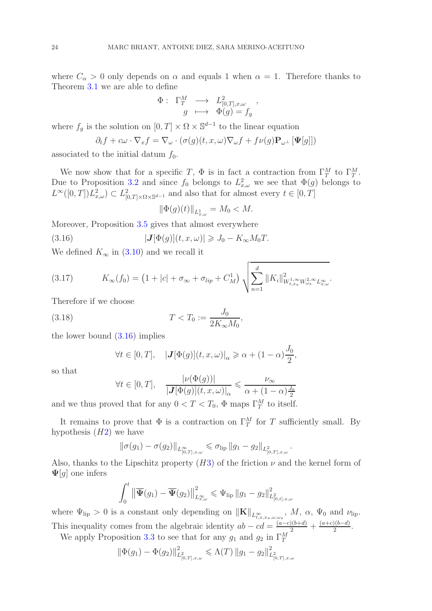where  $C_{\alpha} > 0$  only depends on  $\alpha$  and equals 1 when  $\alpha = 1$ . Therefore thanks to Theorem [3.1](#page-17-1) we are able to define

$$
\begin{array}{rcl} \Phi :& \Gamma^M_T & \longrightarrow & L^2_{[0,T],x,\omega} \\ & g & \longmapsto & \Phi(g) = f_g \end{array}
$$

,

,

where  $f_g$  is the solution on  $[0, T] \times \Omega \times \mathbb{S}^{d-1}$  to the linear equation

$$
\partial_t f + c\omega \cdot \nabla_x f = \nabla_\omega \cdot (\sigma(g)(t, x, \omega) \nabla_\omega f + f\nu(g) \mathbf{P}_{\omega^\perp} [\mathbf{\Psi}[g]])
$$

associated to the initial datum  $f_0$ .

We now show that for a specific T,  $\Phi$  is in fact a contraction from  $\Gamma_T^M$  to  $\Gamma_T^M$ . Due to Proposition [3.2](#page-17-2) and since  $f_0$  belongs to  $L^2_{x,\omega}$  we see that  $\Phi(g)$  belongs to  $L^{\infty}([0,T])L^2_{x,\omega}) \subset L^2_{[0,T]\times\Omega\times\mathbb{S}^{d-1}}$  and also that for almost every  $t\in[0,T]$ 

<span id="page-23-2"></span>
$$
\|\Phi(g)(t)\|_{L^1_{x,\omega}} = M_0 < M.
$$

Moreover, Proposition [3.5](#page-21-1) gives that almost everywhere

(3.16)  $|\mathbf{J}[\Phi(q)](t, x, \omega)| \geq J_0 - K_{\infty} M_0 T$ .

We defined  $K_{\infty}$  in [\(3.10\)](#page-21-2) and we recall it

<span id="page-23-1"></span>(3.17) 
$$
K_{\infty}(f_0) = (1 + |c| + \sigma_{\infty} + \sigma_{lip} + C_M^1) \sqrt{\sum_{n=1}^d ||K_i||^2_{W_{t,x_*}^{1,\infty}W_{\omega_*}^{2,\infty}L_{x,\omega}^{\infty}}}.
$$

Therefore if we choose

(3.18) 
$$
T < T_0 := \frac{J_0}{2K_{\infty}M_0},
$$

the lower bound [\(3.16\)](#page-23-2) implies

<span id="page-23-0"></span>
$$
\forall t \in [0, T], \quad |\mathbf{J}[\Phi(g)](t, x, \omega)|_{\alpha} \geq \alpha + (1 - \alpha) \frac{J_0}{2}
$$

so that

$$
\forall t \in [0, T], \quad \frac{|\nu(\Phi(g))|}{|\mathbf{J}[\Phi(g)](t, x, \omega)|_{\alpha}} \leq \frac{\nu_{\infty}}{\alpha + (1 - \alpha)\frac{J_0}{2}}
$$

and we thus proved that for any  $0 < T < T_0$ ,  $\Phi$  maps  $\Gamma_T^M$  to itself.

It remains to prove that  $\Phi$  is a contraction on  $\Gamma_T^M$  for T sufficiently small. By hypothesis  $(H2)$  $(H2)$  we have

$$
\|\sigma(g_1)-\sigma(g_2)\|_{L^{\infty}_{[0,T],x,\omega}} \leq \sigma_{\text{lip}}\|g_1-g_2\|_{L^2_{[0,T],x,\omega}}.
$$

Also, thanks to the Lipschitz property  $(H3)$  $(H3)$  of the friction  $\nu$  and the kernel form of  $\Psi[q]$  one infers

$$
\int_0^t \left\| \overline{\Psi}(g_1) - \overline{\Psi}(g_2) \right\|_{L^{\infty}_{x,\omega}}^2 \leq \Psi_{\text{lip}} \left\| g_1 - g_2 \right\|_{L^2_{[0,t],x,\omega}}^2
$$

where  $\Psi_{\text{lip}} > 0$  is a constant only depending on  $\|\mathbf{K}\|_{L^{\infty}_{t,x,x_*,\omega,\omega_*}}$ ,  $M$ ,  $\alpha$ ,  $\Psi_0$  and  $\nu_{\text{lip}}$ . This inequality comes from the algebraic identity  $ab - cd = \frac{(a-c)(b+d)}{b-a} + \frac{(a+c)(b-d)}{2}$  $\frac{a}{2}$ .

We apply Proposition [3.3](#page-19-0) to see that for any  $g_1$  and  $g_2$  in  $\Gamma_T^M$ 

$$
\|\Phi(g_1) - \Phi(g_2)\|_{L^2_{[0,T],x,\omega}}^2 \leq \Lambda(T) \|g_1 - g_2\|_{L^2_{[0,T],x,\omega}}^2
$$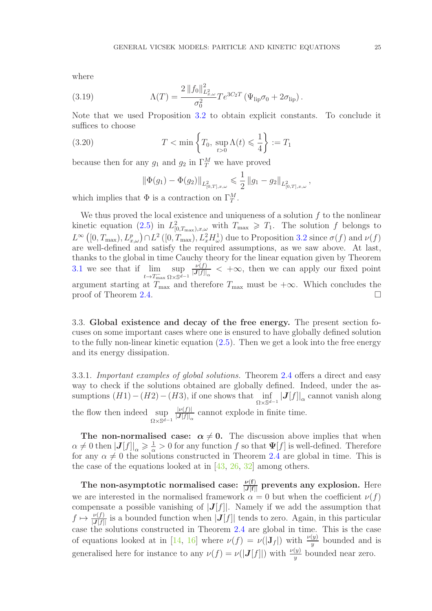where

(3.19) 
$$
\Lambda(T) = \frac{2 \|f_0\|_{L^2_{x,\omega}}^2}{\sigma_0^2} T e^{3C_2 T} \left(\Psi_{\text{lip}} \sigma_0 + 2\sigma_{\text{lip}}\right).
$$

Note that we used Proposition [3.2](#page-17-2) to obtain explicit constants. To conclude it suffices to choose

(3.20) 
$$
T < \min\left\{T_0, \sup_{t>0} \Lambda(t) \leq \frac{1}{4}\right\} := T_1
$$

because then for any  $g_1$  and  $g_2$  in  $\Gamma_T^M$  we have proved

<span id="page-24-2"></span>
$$
\left\|\Phi(g_1) - \Phi(g_2)\right\|_{L^2_{[0,T],x,\omega}} \leqslant \frac{1}{2} \left\|g_1 - g_2\right\|_{L^2_{[0,T],x,\omega}},
$$

which implies that  $\Phi$  is a contraction on  $\Gamma_T^M$ .

We thus proved the local existence and uniqueness of a solution  $f$  to the nonlinear kinetic equation [\(2.5\)](#page-7-1) in  $L^2_{[0,T_{\text{max}}),x,\omega}$  with  $T_{\text{max}} \geq T_1$ . The solution f belongs to  $L^{\infty}([0,T_{\max}), L^p_{x,\omega}) \cap L^2([0,T_{\max}), L^2_x H^1_{\omega})$  due to Proposition [3.2](#page-17-2) since  $\sigma(f)$  and  $\nu(f)$ are well-defined and satisfy the required assumptions, as we saw above. At last, thanks to the global in time Cauchy theory for the linear equation given by Theorem  $3.1$  we see that if  $t\rightarrow T_{\text{max}}^$ sup  $\Omega \times \mathbb{S}^{d-1}$  $\nu(f)$  $\frac{\nu(I)}{|\mathbf{J}[f]|_{\alpha}} < +\infty$ , then we can apply our fixed point argument starting at  $T_{\text{max}}$  and therefore  $T_{\text{max}}$  must be  $+\infty$ . Which concludes the proof of Theorem 2.4. proof of Theorem [2.4.](#page-8-0)

<span id="page-24-0"></span>3.3. Global existence and decay of the free energy. The present section focuses on some important cases where one is ensured to have globally defined solution to the fully non-linear kinetic equation [\(2.5\)](#page-7-1). Then we get a look into the free energy and its energy dissipation.

<span id="page-24-1"></span>3.3.1. Important examples of global solutions. Theorem [2.4](#page-8-0) offers a direct and easy way to check if the solutions obtained are globally defined. Indeed, under the assumptions  $(H1) - (H2) - (H3)$ , if one shows that  $\inf_{\Omega \times \mathbb{S}^{d-1}} |J[f]|_{\alpha}$  cannot vanish along the flow then indeed sup  $\Omega \times \mathbb{S}^{d-1}$  $|\nu(f)|$  $\frac{|\nu(j)|}{|J[f]|_{\alpha}}$  cannot explode in finite time.

The non-normalised case:  $\alpha \neq 0$ . The discussion above implies that when  $\alpha \neq 0$  then  $|\mathbf{J}[f]|_{\alpha} \geqslant \frac{1}{\alpha} > 0$  for any function f so that  $\Psi[f]$  is well-defined. Therefore for any  $\alpha \neq 0$  the solutions constructed in Theorem [2.4](#page-8-0) are global in time. This is the case of the equations looked at in [\[43,](#page-38-16) [26,](#page-37-16) [32\]](#page-38-1) among others.

The non-asymptotic normalised case:  $\frac{\nu(f)}{|J[f]|}$  prevents any explosion. Here we are interested in the normalised framework  $\alpha = 0$  but when the coefficient  $\nu(f)$ compensate a possible vanishing of  $|J[f]|$ . Namely if we add the assumption that  $f \mapsto \frac{\nu(f)}{|J[f]|}$  is a bounded function when  $|J[f]|$  tends to zero. Again, in this particular case the solutions constructed in Theorem [2.4](#page-8-0) are global in time. This is the case of equations looked at in [\[14,](#page-37-15) [16\]](#page-37-4) where  $\nu(f) = \nu(|\mathbf{J}_f|)$  with  $\frac{\nu(y)}{y}$  bounded and is generalised here for instance to any  $\nu(f) = \nu(|J[f]|)$  with  $\frac{\nu(y)}{y}$  bounded near zero.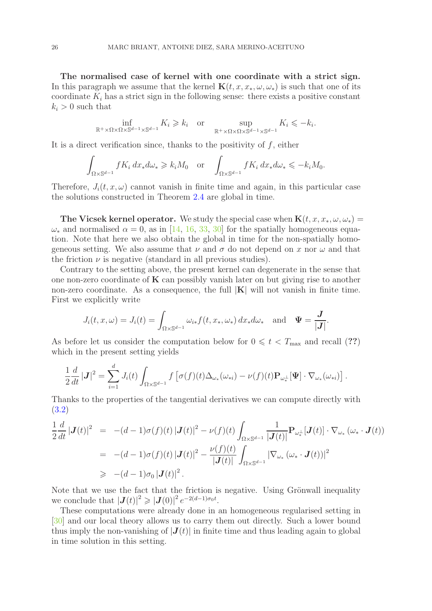The normalised case of kernel with one coordinate with a strict sign. In this paragraph we assume that the kernel  ${\bf K}(t, x, x_*, \omega, \omega_*)$  is such that one of its coordinate  $K_i$  has a strict sign in the following sense: there exists a positive constant  $k_i > 0$  such that

$$
\inf_{\mathbb{R}^+\times\Omega\times\Omega\times\mathbb{S}^{d-1}\times\mathbb{S}^{d-1}} K_i \ge k_i \quad \text{or} \quad \sup_{\mathbb{R}^+\times\Omega\times\Omega\times\mathbb{S}^{d-1}\times\mathbb{S}^{d-1}} K_i \le -k_i.
$$

It is a direct verification since, thanks to the positivity of  $f$ , either

$$
\int_{\Omega \times \mathbb{S}^{d-1}} fK_i dx_* d\omega_* \geq k_i M_0 \quad \text{or} \quad \int_{\Omega \times \mathbb{S}^{d-1}} fK_i dx_* d\omega_* \leq k_i M_0.
$$

Therefore,  $J_i(t, x, \omega)$  cannot vanish in finite time and again, in this particular case the solutions constructed in Theorem [2.4](#page-8-0) are global in time.

The Vicsek kernel operator. We study the special case when  ${\bf K}(t, x, x_*, \omega, \omega_*)$  $\omega_*$  and normalised  $\alpha = 0$ , as in [\[14,](#page-37-15) [16,](#page-37-4) [33,](#page-38-0) [30\]](#page-37-0) for the spatially homogeneous equation. Note that here we also obtain the global in time for the non-spatially homogeneous setting. We also assume that  $\nu$  and  $\sigma$  do not depend on x nor  $\omega$  and that the friction  $\nu$  is negative (standard in all previous studies).

Contrary to the setting above, the present kernel can degenerate in the sense that one non-zero coordinate of  $\bf{K}$  can possibly vanish later on but giving rise to another non-zero coordinate. As a consequence, the full  $|K|$  will not vanish in finite time. First we explicitly write

$$
J_i(t, x, \omega) = J_i(t) = \int_{\Omega \times \mathbb{S}^{d-1}} \omega_{i*} f(t, x_*, \omega_*) dx_* d\omega_* \text{ and } \Psi = \frac{J}{|J|}.
$$

As before let us consider the computation below for  $0 \leq t < T_{\text{max}}$  and recall (??) which in the present setting yields

$$
\frac{1}{2}\frac{d}{dt}\left|\mathbf{J}\right|^2 = \sum_{i=1}^d J_i(t) \int_{\Omega \times \mathbb{S}^{d-1}} f\left[\sigma(f)(t)\Delta_{\omega_*}(\omega_{*i}) - \nu(f)(t)\mathbf{P}_{\omega_*^{\perp}}[\mathbf{\Psi}] \cdot \nabla_{\omega_*}(\omega_{*i})\right].
$$

Thanks to the properties of the tangential derivatives we can compute directly with [\(3.2\)](#page-16-4)

$$
\frac{1}{2}\frac{d}{dt}\left|\mathbf{J}(t)\right|^2 = -(d-1)\sigma(f)(t)\left|\mathbf{J}(t)\right|^2 - \nu(f)(t)\int_{\Omega\times\mathbb{S}^{d-1}}\frac{1}{\left|\mathbf{J}(t)\right|}\mathbf{P}_{\omega_*^{\perp}}[\mathbf{J}(t)]\cdot\nabla_{\omega_*}(\omega_*\cdot\mathbf{J}(t))
$$
\n
$$
= -(d-1)\sigma(f)(t)\left|\mathbf{J}(t)\right|^2 - \frac{\nu(f)(t)}{\left|\mathbf{J}(t)\right|}\int_{\Omega\times\mathbb{S}^{d-1}}\left|\nabla_{\omega_*}(\omega_*\cdot\mathbf{J}(t))\right|^2
$$
\n
$$
\geq -(d-1)\sigma_0\left|\mathbf{J}(t)\right|^2.
$$

Note that we use the fact that the friction is negative. Using Grönwall inequality we conclude that  $|\mathbf{J}(t)|^2 \geq |\mathbf{J}(0)|^2 e^{-2(d-1)\sigma_0 t}$ .

These computations were already done in an homogeneous regularised setting in [\[30\]](#page-37-0) and our local theory allows us to carry them out directly. Such a lower bound thus imply the non-vanishing of  $|J(t)|$  in finite time and thus leading again to global in time solution in this setting.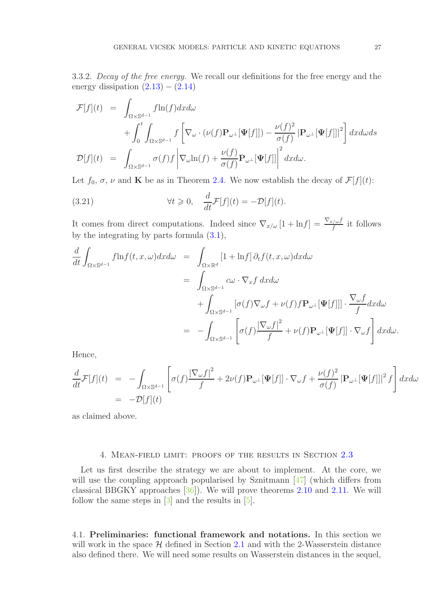<span id="page-26-2"></span>3.3.2. Decay of the free energy. We recall our definitions for the free energy and the energy dissipation  $(2.13) - (2.14)$  $(2.13) - (2.14)$ 

$$
\mathcal{F}[f](t) = \int_{\Omega \times \mathbb{S}^{d-1}} f \ln(f) dx d\omega \n+ \int_0^t \int_{\Omega \times \mathbb{S}^{d-1}} f \left[ \nabla_\omega \cdot (\nu(f) \mathbf{P}_{\omega^\perp}[\mathbf{\Psi}[f]]) - \frac{\nu(f)^2}{\sigma(f)} |\mathbf{P}_{\omega^\perp}[\mathbf{\Psi}[f]]|^2 \right] dx d\omega ds \n\mathcal{D}[f](t) = \int_{\Omega \times \mathbb{S}^{d-1}} \sigma(f) f \left| \nabla_\omega \ln(f) + \frac{\nu(f)}{\sigma(f)} \mathbf{P}_{\omega^\perp}[\mathbf{\Psi}[f]] \right|^2 dx d\omega.
$$

Let  $f_0, \sigma, \nu$  and **K** be as in Theorem [2.4.](#page-8-0) We now establish the decay of  $\mathcal{F}[f](t)$ :

(3.21) 
$$
\forall t \geq 0, \quad \frac{d}{dt} \mathcal{F}[f](t) = -\mathcal{D}[f](t).
$$

It comes from direct computations. Indeed since  $\nabla_{x/\omega} [1 + \ln f] = \frac{\nabla_{x/\omega} f}{f}$  it follows by the integrating by parts formula  $(3.1)$ ,

$$
\frac{d}{dt} \int_{\Omega \times \mathbb{S}^{d-1}} f \ln f(t, x, \omega) dx d\omega = \int_{\Omega \times \mathbb{R}^d} [1 + \ln f] \partial_t f(t, x, \omega) dx d\omega \n= \int_{\Omega \times \mathbb{S}^{d-1}} c\omega \cdot \nabla_x f dx d\omega \n+ \int_{\Omega \times \mathbb{S}^{d-1}} [\sigma(f) \nabla_\omega f + \nu(f) f \mathbf{P}_{\omega^{\perp}}[\mathbf{\Psi}[f]]] \cdot \frac{\nabla_\omega f}{f} dx d\omega \n= - \int_{\Omega \times \mathbb{S}^{d-1}} \left[ \sigma(f) \frac{|\nabla_\omega f|^2}{f} + \nu(f) \mathbf{P}_{\omega^{\perp}}[\mathbf{\Psi}[f]] \cdot \nabla_\omega f \right] dx d\omega.
$$

Hence,

$$
\frac{d}{dt}\mathcal{F}[f](t) = -\int_{\Omega\times\mathbb{S}^{d-1}} \left[\sigma(f)\frac{|\nabla_{\omega}f|^2}{f} + 2\nu(f)\mathbf{P}_{\omega^{\perp}}[\mathbf{\Psi}[f]] \cdot \nabla_{\omega}f + \frac{\nu(f)^2}{\sigma(f)}|\mathbf{P}_{\omega^{\perp}}[\mathbf{\Psi}[f]]|^2 f\right]dxd\omega
$$
\n
$$
= -\mathcal{D}[f](t)
$$

as claimed above.

#### 4. Mean-field limit: proofs of the results in Section [2.3](#page-11-0)

<span id="page-26-0"></span>Let us first describe the strategy we are about to implement. At the core, we will use the coupling approach popularised by Sznitmann [\[47\]](#page-38-14) (which differs from classical BBGKY approaches [\[36\]](#page-38-11)). We will prove theorems [2.10](#page-14-0) and [2.11.](#page-14-1) We will follow the same steps in  $\lceil 3 \rceil$  and the results in  $\lceil 5 \rceil$ .

<span id="page-26-1"></span>4.1. Preliminaries: functional framework and notations. In this section we will work in the space  $H$  defined in Section [2.1](#page-6-1) and with the 2-Wasserstein distance also defined there. We will need some results on Wasserstein distances in the sequel,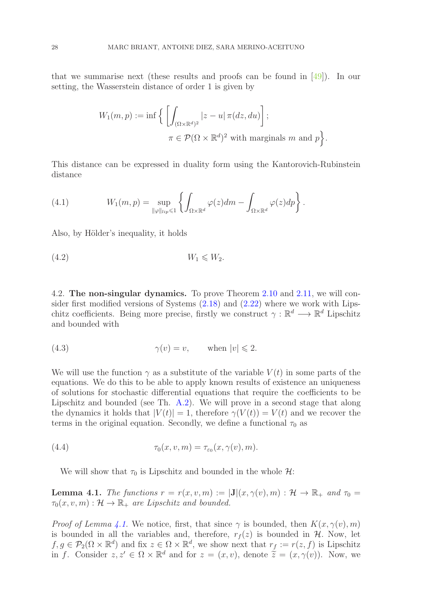that we summarise next (these results and proofs can be found in  $[49]$ ). In our setting, the Wasserstein distance of order 1 is given by

$$
W_1(m, p) := \inf \Big\{ \left[ \int_{(\Omega \times \mathbb{R}^d)^2} |z - u| \, \pi(dz, du) \right];
$$
  

$$
\pi \in \mathcal{P}(\Omega \times \mathbb{R}^d)^2 \text{ with marginals } m \text{ and } p \Big\}.
$$

This distance can be expressed in duality form using the Kantorovich-Rubinstein distance

<span id="page-27-2"></span>(4.1) 
$$
W_1(m,p) = \sup_{\|\varphi\|_{lip} \leq 1} \left\{ \int_{\Omega \times \mathbb{R}^d} \varphi(z) dm - \int_{\Omega \times \mathbb{R}^d} \varphi(z) dp \right\}.
$$

Also, by Hölder's inequality, it holds

<span id="page-27-3"></span>
$$
(4.2) \t\t W_1 \leqslant W_2.
$$

<span id="page-27-0"></span>4.2. The non-singular dynamics. To prove Theorem [2.10](#page-14-0) and [2.11,](#page-14-1) we will consider first modified versions of Systems [\(2.18\)](#page-12-0) and [\(2.22\)](#page-13-1) where we work with Lipschitz coefficients. Being more precise, firstly we construct  $\gamma : \mathbb{R}^d \longrightarrow \mathbb{R}^d$  Lipschitz and bounded with

(4.3) 
$$
\gamma(v) = v, \quad \text{when } |v| \leq 2.
$$

We will use the function  $\gamma$  as a substitute of the variable  $V(t)$  in some parts of the equations. We do this to be able to apply known results of existence an uniqueness of solutions for stochastic differential equations that require the coefficients to be Lipschitz and bounded (see Th. [A.2\)](#page-34-2). We will prove in a second stage that along the dynamics it holds that  $|V(t)| = 1$ , therefore  $\gamma(V(t)) = V(t)$  and we recover the terms in the original equation. Secondly, we define a functional  $\tau_0$  as

(4.4) 
$$
\tau_0(x, v, m) = \tau_{\varepsilon_0}(x, \gamma(v), m).
$$

We will show that  $\tau_0$  is Lipschitz and bounded in the whole  $\mathcal{H}$ :

<span id="page-27-1"></span>**Lemma 4.1.** The functions  $r = r(x, v, m) := |\mathbf{J}|(x, \gamma(v), m) : \mathcal{H} \to \mathbb{R}_+$  and  $\tau_0 =$  $\tau_0(x, v, m) : \mathcal{H} \to \mathbb{R}_+$  are Lipschitz and bounded.

*Proof of Lemma [4.1.](#page-27-1)* We notice, first, that since  $\gamma$  is bounded, then  $K(x, \gamma(v), m)$ is bounded in all the variables and, therefore,  $r_f(z)$  is bounded in  $H$ . Now, let  $f, g \in \mathcal{P}_2(\Omega \times \mathbb{R}^d)$  and fix  $z \in \Omega \times \mathbb{R}^d$ , we show next that  $r_f := r(z, f)$  is Lipschitz in f. Consider  $z, z' \in \Omega \times \mathbb{R}^d$  and for  $z = (x, v)$ , denote  $\tilde{z} = (x, \gamma(v))$ . Now, we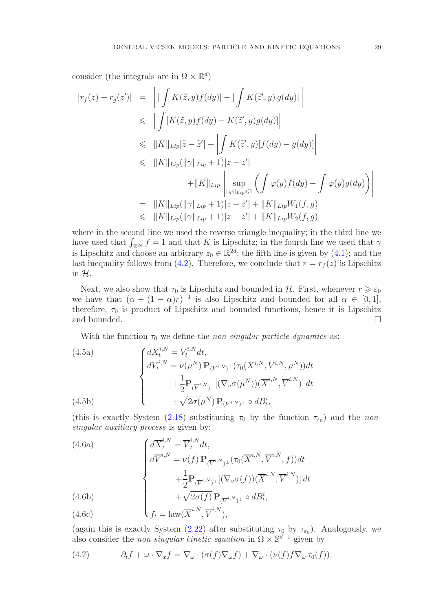consider (the integrals are in  $\Omega \times \mathbb{R}^d$ )

$$
|r_f(z) - r_g(z')| = \left| |\int K(\tilde{z}, y) f(dy)| - |\int K(\tilde{z}', y) g(dy)| \right|
$$
  
\n
$$
\leq \left| \int [K(\tilde{z}, y) f(dy) - K(\tilde{z}', y) g(dy)] \right|
$$
  
\n
$$
\leq \|K\|_{Lip} |\tilde{z} - \tilde{z}'| + \left| \int K(\tilde{z}', y) [f(dy) - g(dy)] \right|
$$
  
\n
$$
\leq \|K\|_{Lip} (\|\gamma\|_{Lip} + 1)|z - z'|
$$
  
\n
$$
+ \|K\|_{Lip} \left| \sup_{\|\varphi\|_{Lip} \leq 1} \left( \int \varphi(y) f(dy) - \int \varphi(y) g(dy) \right) \right|
$$
  
\n
$$
= \|K\|_{Lip} (\|\gamma\|_{Lip} + 1)|z - z'| + \|K\|_{Lip} W_1(f, g)
$$
  
\n
$$
\leq \|K\|_{Lip} (\|\gamma\|_{Lip} + 1)|z - z'| + \|K\|_{Lip} W_2(f, g)
$$

where in the second line we used the reverse triangle inequality; in the third line we have used that  $\int_{\mathbb{R}^{2d}} f = 1$  and that K is Lipschitz; in the fourth line we used that  $\gamma$ is Lipschitz and choose an arbitrary  $z_0 \in \mathbb{R}^{2d}$ ; the fifth line is given by [\(4.1\)](#page-27-2); and the last inequality follows from [\(4.2\)](#page-27-3). Therefore, we conclude that  $r = r<sub>f</sub>(z)$  is Lipschitz in H.

Next, we also show that  $\tau_0$  is Lipschitz and bounded in  $H$ . First, whenever  $r \geq \varepsilon_0$ we have that  $(\alpha + (1 - \alpha)r)^{-1}$  is also Lipschitz and bounded for all  $\alpha \in [0, 1]$ , therefore,  $\tau_0$  is product of Lipschitz and bounded functions, hence it is Lipschitz and bounded.  $\hfill \square$ 

<span id="page-28-0"></span>With the function  $\tau_0$  we define the non-singular particle dynamics as:

(4.5a)  

$$
\begin{cases}\ndX_t^{i,N} = V_t^{i,N} dt, \\
dV_t^{i,N} = \nu(\mu^N) \mathbf{P}_{(V^{i,N})^\perp}(\tau_0(X^{i,N}, V^{i,N}, \mu^N)) dt \\
+ \frac{1}{2} \mathbf{P}_{(\overline{V}^{i,N})^\perp} [(\nabla_v \sigma(\mu^N)) (\overline{X}^{i,N}, \overline{V}^{i,N})] dt \\
+ \sqrt{2\sigma(\mu^N)} \mathbf{P}_{(V^{i,N})^\perp} \circ dB_t^i,\n\end{cases}
$$
(4.5b)

(this is exactly System [\(2.18\)](#page-12-0) substituting  $\tau_0$  by the function  $\tau_{\epsilon_0}$ ) and the nonsingular auxiliary process is given by:

<span id="page-28-2"></span>(4.6a)  
\n
$$
\begin{cases}\n d\overline{X}_t^{i,N} = \overline{V}_t^{i,N} dt, \\
 d\overline{V}^{i,N} = \nu(f) \mathbf{P}_{(\overline{V}^{i,N})^\perp}(\tau_0(\overline{X}^{i,N}, \overline{V}^{i,N}, f)) dt \\
 + \frac{1}{2} \mathbf{P}_{(\overline{V}^{i,N})^\perp} [(\nabla_v \sigma(f))(\overline{X}^{i,N}, \overline{V}^{i,N})] dt \\
 + \sqrt{2\sigma(f)} \mathbf{P}_{(\overline{V}^{i,N})^\perp} \circ dB_t^i,\n\end{cases}
$$
\n(4.6b)  
\n
$$
f_t = \text{law}(\overline{X}^{i,N}, \overline{V}^{i,N}).
$$

(4.6c) 
$$
\qquad \qquad \int f_t = \text{law}(\overline{X}^{i,N}, \overline{V}^{i,N}),
$$

(again this is exactly System [\(2.22\)](#page-13-1) after substituting  $\tau_0$  by  $\tau_{\epsilon_0}$ ). Analogously, we also consider the *non-singular kinetic equation* in  $\Omega \times \mathbb{S}^{d-1}$  given by

<span id="page-28-1"></span>(4.7) 
$$
\partial_t f + \omega \cdot \nabla_x f = \nabla_\omega \cdot (\sigma(f) \nabla_\omega f) + \nabla_\omega \cdot (\nu(f) f \nabla_\omega \tau_0(f)).
$$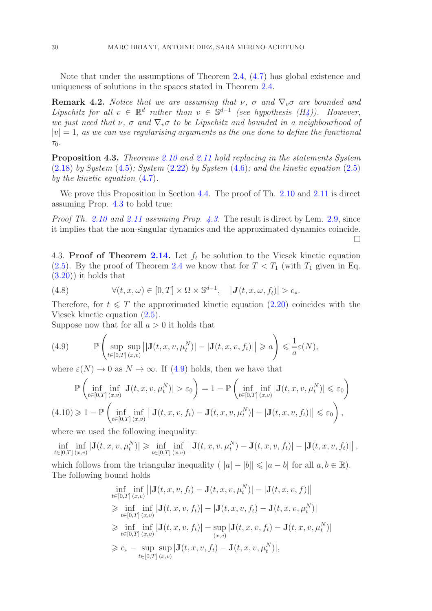Note that under the assumptions of Theorem [2.4,](#page-8-0) [\(4.7\)](#page-28-1) has global existence and uniqueness of solutions in the spaces stated in Theorem [2.4.](#page-8-0)

<span id="page-29-5"></span>**Remark 4.2.** Notice that we are assuming that  $\nu$ ,  $\sigma$  and  $\nabla_{\nu}\sigma$  are bounded and Lipschitz for all  $v \in \mathbb{R}^d$  rather than  $v \in \mathbb{S}^{d-1}$  (see hypothesis  $(H_4)$ ). However, we just need that  $\nu$ ,  $\sigma$  and  $\nabla_v \sigma$  to be Lipschitz and bounded in a neighbourhood of  $|v| = 1$ , as we can use regularising arguments as the one done to define the functional  $\tau_0$ .

<span id="page-29-1"></span>Proposition 4.3. Theorems [2.10](#page-14-0) and [2.11](#page-14-1) hold replacing in the statements System  $(2.18)$  by System  $(4.5)$ ; System  $(2.22)$  by System  $(4.6)$ ; and the kinetic equation  $(2.5)$ by the kinetic equation [\(4.7\)](#page-28-1).

We prove this Proposition in Section [4.4.](#page-31-0) The proof of Th. [2.10](#page-14-0) and [2.11](#page-14-1) is direct assuming Prop. [4.3](#page-29-1) to hold true:

Proof Th. [2.10](#page-14-0) and [2.11](#page-14-1) assuming Prop. [4.3.](#page-29-1) The result is direct by Lem. [2.9,](#page-13-0) since it implies that the non-singular dynamics and the approximated dynamics coincide.  $\Box$ 

<span id="page-29-0"></span>4.3. Proof of Theorem [2.14.](#page-15-0) Let  $f_t$  be solution to the Vicsek kinetic equation [\(2.5\)](#page-7-1). By the proof of Theorem [2.4](#page-8-0) we know that for  $T < T_1$  (with  $T_1$  given in Eq. [\(3.20\)](#page-24-2)) it holds that

<span id="page-29-3"></span>(4.8) 
$$
\forall (t, x, \omega) \in [0, T] \times \Omega \times \mathbb{S}^{d-1}, \quad |J(t, x, \omega, f_t)| > c_*.
$$

Therefore, for  $t \leq T$  the approximated kinetic equation [\(2.20\)](#page-12-1) coincides with the Vicsek kinetic equation [\(2.5\)](#page-7-1).

Suppose now that for all  $a > 0$  it holds that

<span id="page-29-2"></span>(4.9) 
$$
\mathbb{P}\left(\sup_{t\in[0,T]} \sup_{(x,v)} \left| |\mathbf{J}(t,x,v,\mu_t^N)| - |\mathbf{J}(t,x,v,f_t)| \right| \geq a \right) \leq \frac{1}{a}\varepsilon(N),
$$

where  $\varepsilon(N) \to 0$  as  $N \to \infty$ . If [\(4.9\)](#page-29-2) holds, then we have that

<span id="page-29-4"></span>
$$
\mathbb{P}\left(\inf_{t\in[0,T]} \inf_{(x,v)} |\mathbf{J}(t,x,v,\mu_t^N)| > \varepsilon_0\right) = 1 - \mathbb{P}\left(\inf_{t\in[0,T]} \inf_{(x,v)} |\mathbf{J}(t,x,v,\mu_t^N)| \leq \varepsilon_0\right)
$$
  
(4.10)  $\geq 1 - \mathbb{P}\left(\inf_{t\in[0,T]} \inf_{(x,v)} \left| |\mathbf{J}(t,x,v,f_t) - \mathbf{J}(t,x,v,\mu_t^N)| - |\mathbf{J}(t,x,v,f_t)| \right| \leq \varepsilon_0\right),$ 

where we used the following inequality:

$$
\inf_{t \in [0,T]} \inf_{(x,v)} |\mathbf{J}(t,x,v,\mu_t^N)| \geq \inf_{t \in [0,T]} \inf_{(x,v)} ||\mathbf{J}(t,x,v,\mu_t^N) - \mathbf{J}(t,x,v,f_t)|| - |\mathbf{J}(t,x,v,f_t)||,
$$

which follows from the triangular inequality  $(||a|-|b|| \leqslant |a-b|$  for all  $a, b \in \mathbb{R}$ ). The following bound holds

$$
\inf_{t \in [0,T]} \inf_{(x,v)} \left| |\mathbf{J}(t,x,v,f_t) - \mathbf{J}(t,x,v,\mu_t^N) | - |\mathbf{J}(t,x,v,f)| \right|
$$
\n
$$
\geq \inf_{t \in [0,T]} \inf_{(x,v)} |\mathbf{J}(t,x,v,f_t)| - |\mathbf{J}(t,x,v,f_t) - \mathbf{J}(t,x,v,\mu_t^N)|
$$
\n
$$
\geq \inf_{t \in [0,T]} \inf_{(x,v)} |\mathbf{J}(t,x,v,f_t)| - \sup_{(x,v)} |\mathbf{J}(t,x,v,f_t) - \mathbf{J}(t,x,v,\mu_t^N)|
$$
\n
$$
\geq c_* - \sup_{t \in [0,T]} \sup_{(x,v)} |\mathbf{J}(t,x,v,f_t) - \mathbf{J}(t,x,v,\mu_t^N)|,
$$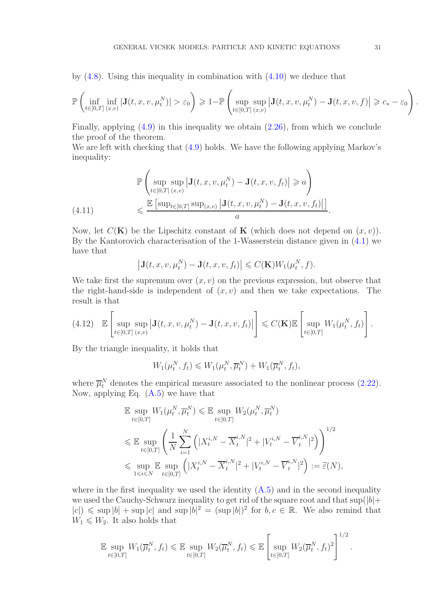by  $(4.8)$ . Using this inequality in combination with  $(4.10)$  we deduce that

$$
\mathbb{P}\left(\inf_{t\in[0,T]} \inf_{(x,v)} |\mathbf{J}(t,x,v,\mu^N_t)| > \varepsilon_0\right) \geqslant 1 - \mathbb{P}\left(\sup_{t\in[0,T]} \sup_{(x,v)} \left|\mathbf{J}(t,x,v,\mu^N_t) - \mathbf{J}(t,x,v,f)\right| \geqslant c_* - \varepsilon_0\right)
$$

Finally, applying  $(4.9)$  in this inequality we obtain  $(2.26)$ , from which we conclude the proof of the theorem.

We are left with checking that  $(4.9)$  holds. We have the following applying Markov's inequality:

<span id="page-30-0"></span>
$$
\mathbb{P}\left(\sup_{t\in[0,T]} \sup_{(x,v)} \left|\mathbf{J}(t,x,v,\mu_t^N) - \mathbf{J}(t,x,v,f_t)\right| \geq a\right)
$$
\n
$$
\leq \frac{\mathbb{E}\left[\sup_{t\in[0,T]} \sup_{(x,v)} \left|\mathbf{J}(t,x,v,\mu_t^N) - \mathbf{J}(t,x,v,f_t)\right|\right]}{a}.
$$

Now, let  $C(K)$  be the Lipschitz constant of K (which does not depend on  $(x, v)$ ). By the Kantorovich characterisation of the 1-Wasserstein distance given in [\(4.1\)](#page-27-2) we have that

$$
\left|\mathbf{J}(t,x,v,\mu_t^N)-\mathbf{J}(t,x,v,f_t)\right|\leqslant C(\mathbf{K})W_1(\mu_t^N,f).
$$

We take first the supremum over  $(x, v)$  on the previous expression, but observe that the right-hand-side is independent of  $(x, v)$  and then we take expectations. The result is that

<span id="page-30-1"></span>
$$
(4.12) \quad \mathbb{E}\left[\sup_{t\in[0,T]} \sup_{(x,v)} \left|\mathbf{J}(t,x,v,\mu_t^N)-\mathbf{J}(t,x,v,f_t)\right|\right] \leqslant C(\mathbf{K}) \mathbb{E}\left[\sup_{t\in[0,T]} W_1(\mu_t^N,f_t)\right].
$$

By the triangle inequality, it holds that

$$
W_1(\mu_t^N, f_t) \leqslant W_1(\mu_t^N, \overline{\mu}_t^N) + W_1(\overline{\mu}_t^N, f_t),
$$

where  $\overline{\mu}_t^N$  denotes the empirical measure associated to the nonlinear process [\(2.22\)](#page-13-1). Now, applying Eq. [\(A.5\)](#page-35-2) we have that

$$
\mathbb{E} \sup_{t \in [0,T]} W_1(\mu_t^N, \overline{\mu}_t^N) \leq \mathbb{E} \sup_{t \in [0,T]} W_2(\mu_t^N, \overline{\mu}_t^N)
$$
\n
$$
\leq \mathbb{E} \sup_{t \in [0,T]} \left( \frac{1}{N} \sum_{i=1}^N \left( |X_t^{i,N} - \overline{X}_t^{i,N}|^2 + |V_t^{i,N} - \overline{V}_t^{i,N}|^2 \right) \right)^{1/2}
$$
\n
$$
\leq \sup_{1 \leq i \leq N} \mathbb{E} \sup_{t \in [0,T]} \left( |X_t^{i,N} - \overline{X}_t^{i,N}|^2 + |V_t^{i,N} - \overline{V}_t^{i,N}|^2 \right) := \widetilde{\varepsilon}(N),
$$

where in the first inequality we used the identity  $(A.5)$  and in the second inequality we used the Cauchy-Schwarz inequality to get rid of the square root and that  $\sup(|b|+$  $|c| \leq \sup |b| + \sup |c|$  and  $\sup |b|^2 = (\sup |b|)^2$  for  $b, c \in \mathbb{R}$ . We also remind that  $W_1 \leqslant W_2$ . It also holds that

$$
\mathbb{E} \sup_{t \in [0,T]} W_1(\overline{\mu}_t^N, f_t) \leq \mathbb{E} \sup_{t \in [0,T]} W_2(\overline{\mu}_t^N, f_t) \leq \mathbb{E} \left[ \sup_{t \in [0,T]} W_2(\overline{\mu}_t^N, f_t)^2 \right]^{1/2}.
$$

.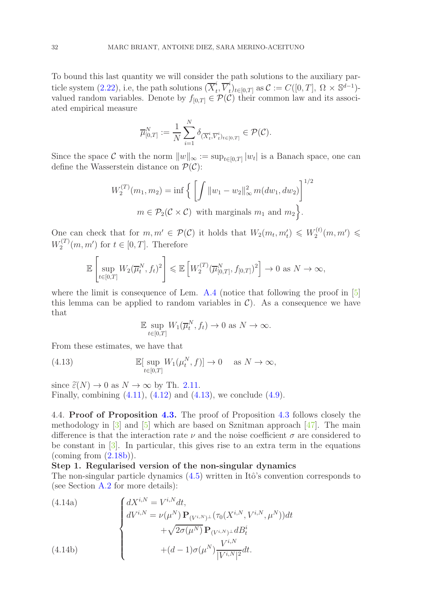To bound this last quantity we will consider the path solutions to the auxiliary par-ticle system [\(2.22\)](#page-13-1), i.e, the path solutions  $(\overline{X}_t^i)$  $_i^i, \overline{V}_t^i$  $t_{t}^{i}$ <sub>t</sub> $\in [0,T]$  as  $C := C([0,T], \Omega \times \mathbb{S}^{d-1})$ valued random variables. Denote by  $f_{[0,T]} \in \mathcal{P}(\mathcal{C})$  their common law and its associated empirical measure

$$
\overline{\mu}_{[0,T]}^N := \frac{1}{N} \sum_{i=1}^N \delta_{(\overline{X}_t^i, \overline{V}_t^i)_{t \in [0,T]}} \in \mathcal{P}(\mathcal{C}).
$$

Since the space C with the norm  $||w||_{\infty} := \sup_{t \in [0,T]} |w_t|$  is a Banach space, one can define the Wasserstein distance on  $\mathcal{P}(\mathcal{C})$ :

$$
W_2^{(T)}(m_1, m_2) = \inf \left\{ \left[ \int ||w_1 - w_2||_{\infty}^2 m(dw_1, dw_2) \right]^{1/2} \right\}
$$
  

$$
m \in \mathcal{P}_2(\mathcal{C} \times \mathcal{C}) \text{ with marginals } m_1 \text{ and } m_2 \right\}.
$$

One can check that for  $m, m' \in \mathcal{P}(\mathcal{C})$  it holds that  $W_2(m_t, m'_t) \leq W_2^{(t)}$  $\chi^{(t)}_2(m,m')\,\leqslant\,$  $W^{(T)}_2$  $2^{(T)}(m, m')$  for  $t \in [0, T]$ . Therefore

$$
\mathbb{E}\left[\sup_{t\in[0,T]}W_2(\overline{\mu}_t^N,f_t)^2\right]\leqslant \mathbb{E}\left[W_2^{(T)}(\overline{\mu}_{[0,T]}^N,f_{[0,T]})^2\right]\to 0 \text{ as } N\to\infty,
$$

where the limit is consequence of Lem. [A.4](#page-35-3) (notice that following the proof in [\[5\]](#page-36-7) this lemma can be applied to random variables in  $\mathcal{C}$ ). As a consequence we have that

<span id="page-31-1"></span>
$$
\mathbb{E} \sup_{t \in [0,T]} W_1(\overline{\mu}_t^N, f_t) \to 0 \text{ as } N \to \infty.
$$

From these estimates, we have that

(4.13) 
$$
\mathbb{E}[\sup_{t\in[0,T]} W_1(\mu_t^N, f)] \to 0 \quad \text{as } N \to \infty,
$$

since  $\tilde{\varepsilon}(N) \to 0$  as  $N \to \infty$  by Th. [2.11.](#page-14-1) Finally, combining  $(4.11)$ ,  $(4.12)$  and  $(4.13)$ , we conclude  $(4.9)$ .

<span id="page-31-0"></span>4.4. Proof of Proposition [4.3.](#page-29-1) The proof of Proposition [4.3](#page-29-1) follows closely the methodology in  $\lceil 3 \rceil$  and  $\lceil 5 \rceil$  which are based on Sznitman approach  $\lceil 47 \rceil$ . The main difference is that the interaction rate  $\nu$  and the noise coefficient  $\sigma$  are considered to be constant in [\[3\]](#page-36-0). In particular, this gives rise to an extra term in the equations (coming from  $(2.18b)$ ).

### Step 1. Regularised version of the non-singular dynamics

<span id="page-31-2"></span>The non-singular particle dynamics  $(4.5)$  written in Itô's convention corresponds to (see Section [A.2](#page-35-0) for more details):

(4.14a)  

$$
\begin{cases}\ndX^{i,N} = V^{i,N}dt, \\
dV^{i,N} = \nu(\mu^N) \mathbf{P}_{(V^{i,N})^{\perp}}(\tau_0(X^{i,N}, V^{i,N}, \mu^N))dt \\
+ \sqrt{2\sigma(\mu^N)} \mathbf{P}_{(V^{i,N})^{\perp}} dB_t^i \\
+ (d-1)\sigma(\mu^N) \frac{V^{i,N}}{|V^{i,N}|^2} dt.\n\end{cases}
$$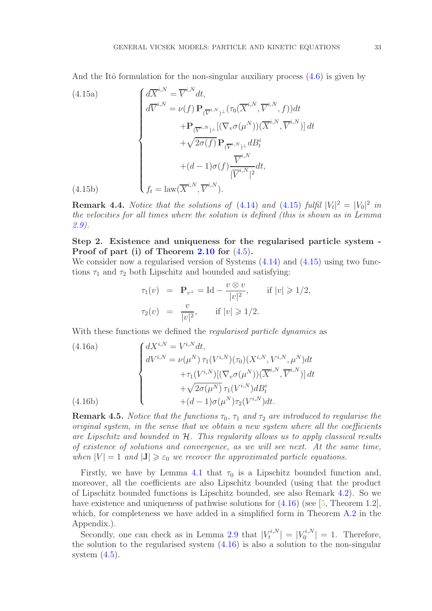<span id="page-32-0"></span>And the Itô formulation for the non-singular auxiliary process  $(4.6)$  is given by

(4.15a)  
\n
$$
\begin{cases}\n d\overline{X}^{i,N} = \overline{V}^{i,N} dt, \\
 d\overline{V}^{i,N} = \nu(f) \mathbf{P}_{(\overline{V}^{i,N})^{\perp}}(\tau_0(\overline{X}^{i,N}, \overline{V}^{i,N}, f)) dt \\
 + \mathbf{P}_{(\overline{V}^{i,N})^{\perp}}[(\nabla_v \sigma(\mu^N))(\overline{X}^{i,N}, \overline{V}^{i,N})] dt \\
 + \sqrt{2\sigma(f)} \mathbf{P}_{(\overline{V}^{i,N})^{\perp}} dB_t^i \\
 + (d-1)\sigma(f) \frac{\overline{V}^{i,N}}{|\overline{V}^{i,N}|^2} dt, \\
 f_t = \text{law}(\overline{X}^{i,N}, \overline{V}^{i,N}).\n\end{cases}
$$

**Remark 4.4.** Notice that the solutions of  $(4.14)$  and  $(4.15)$  fulfil  $|V_t|^2 = |V_0|^2$  in the velocities for all times where the solution is defined (this is shown as in Lemma [2.9\)](#page-13-0).

### Step 2. Existence and uniqueness for the regularised particle system - Proof of part (i) of Theorem [2.10](#page-14-0) for [\(4.5\)](#page-28-0).

We consider now a regularised version of Systems  $(4.14)$  and  $(4.15)$  using two functions  $\tau_1$  and  $\tau_2$  both Lipschitz and bounded and satisfying:

<span id="page-32-1"></span>
$$
\tau_1(v) = \mathbf{P}_{v^{\perp}} = \mathrm{Id} - \frac{v \otimes v}{|v|^2}, \quad \text{if } |v| \geq 1/2,
$$
  

$$
\tau_2(v) = \frac{v}{|v|^2}, \quad \text{if } |v| \geq 1/2.
$$

With these functions we defined the *regularised particle dynamics* as

(4.16a)  
\n
$$
\begin{cases}\ndX^{i,N} = V^{i,N}dt, \\
dV^{i,N} = \nu(\mu^N) \tau_1(V^{i,N})(\tau_0)(X^{i,N}, V^{i,N}, \mu^N)dt \\
+ \tau_1(V^{i,N})[(\nabla_v \sigma(\mu^N))(\overline{X}^{i,N}, \overline{V}^{i,N})]dt \\
+ \sqrt{2\sigma(\mu^N)} \tau_1(V^{i,N})dB_t^i \\
+ (d-1)\sigma(\mu^N)\tau_2(V^{i,N})dt.\n\end{cases}
$$
\n(4.16b)

**Remark 4.5.** Notice that the functions  $\tau_0$ ,  $\tau_1$  and  $\tau_2$  are introduced to regularise the original system, in the sense that we obtain a new system where all the coefficients are Lipschitz and bounded in  $H$ . This regularity allows us to apply classical results of existence of solutions and convergence, as we will see next. At the same time, when  $|V| = 1$  and  $|J| \ge \varepsilon_0$  we recover the approximated particle equations.

Firstly, we have by Lemma [4.1](#page-27-1) that  $\tau_0$  is a Lipschitz bounded function and, moreover, all the coefficients are also Lipschitz bounded (using that the product of Lipschitz bounded functions is Lipschitz bounded, see also Remark [4.2\)](#page-29-5). So we have existence and uniqueness of pathwise solutions for  $(4.16)$  (see [\[5,](#page-36-7) Theorem 1.2], which, for completeness we have added in a simplified form in Theorem [A.2](#page-34-2) in the Appendix.).

Secondly, one can check as in Lemma [2.9](#page-13-0) that  $|V_t^{i,N}|$  $|t^{i,N}_t| = |V_0^{i,N}_t|$  $\binom{n}{0}$  = 1. Therefore, the solution to the regularised system  $(4.16)$  is also a solution to the non-singular system  $(4.5)$ .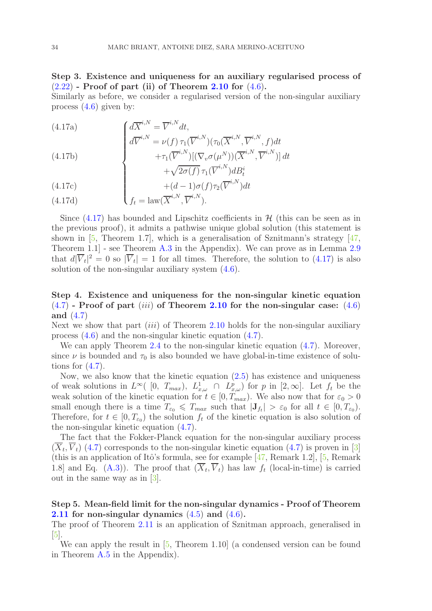## Step 3. Existence and uniqueness for an auxiliary regularised process of  $(2.22)$  - Proof of part (ii) of Theorem [2.10](#page-14-0) for  $(4.6)$ .

<span id="page-33-0"></span>Similarly as before, we consider a regularised version of the non-singular auxiliary process [\(4.6\)](#page-28-2) given by:

(4.17a)  

$$
\begin{cases}\n d\overline{X}^{i,N} = \overline{V}^{i,N} dt, \\
 d\overline{V}^{i,N} = \nu(f) \tau_1(\overline{V}^{i,N}) (\tau_0(\overline{X}^{i,N}, \overline{V}^{i,N}, f) dt \\
 + \tau_1(\overline{V}^{i,N}) [(\nabla_v \sigma(\mu^N))(\overline{X}^{i,N}, \overline{V}^{i,N})] dt \\
 + \sqrt{2\sigma(f)} \tau_1(\overline{V}^{i,N}) dB_t^i\n\end{cases}
$$

(4.17c) 
$$
+(d-1)\sigma(f)\tau_2(\overline{V}^{i,N})dt
$$

(4.17d) 
$$
\qquad \qquad \int f_t = \text{law}(\overline{X}^{i,N}, \overline{V}^{i,N}).
$$

Since  $(4.17)$  has bounded and Lipschitz coefficients in  $H$  (this can be seen as in the previous proof), it admits a pathwise unique global solution (this statement is shown in  $[5,$  Theorem 1.7, which is a generalisation of Sznitmann's strategy  $[47,$ Theorem 1.1] - see Theorem [A.3](#page-34-3) in the Appendix). We can prove as in Lemma [2.9](#page-13-0) that  $d|\overline{V}_t|^2 = 0$  so  $|\overline{V}_t| = 1$  for all times. Therefore, the solution to  $(4.17)$  is also solution of the non-singular auxiliary system [\(4.6\)](#page-28-2).

## Step 4. Existence and uniqueness for the non-singular kinetic equation  $(4.7)$  - Proof of part  $(iii)$  of Theorem [2.10](#page-14-0) for the non-singular case:  $(4.6)$ and [\(4.7\)](#page-28-1)

Next we show that part *(iii)* of Theorem [2.10](#page-14-0) holds for the non-singular auxiliary process [\(4.6\)](#page-28-2) and the non-singular kinetic equation [\(4.7\)](#page-28-1).

We can apply Theorem [2.4](#page-8-0) to the non-singular kinetic equation  $(4.7)$ . Moreover, since  $\nu$  is bounded and  $\tau_0$  is also bounded we have global-in-time existence of solutions for  $(4.7)$ .

Now, we also know that the kinetic equation  $(2.5)$  has existence and uniqueness of weak solutions in  $L^{\infty}(\ [0, T_{max}), L^1_{x,\omega} \cap L^p_{x,\omega})$  for p in  $[2, \infty]$ . Let  $f_t$  be the weak solution of the kinetic equation for  $t \in [0, T_{max})$ . We also now that for  $\varepsilon_0 > 0$ small enough there is a time  $T_{\varepsilon_0} \leq T_{max}$  such that  $|\mathbf{J}_{f_t}| > \varepsilon_0$  for all  $t \in [0, T_{\varepsilon_0})$ . Therefore, for  $t \in [0, T_{\varepsilon_0})$  the solution  $f_t$  of the kinetic equation is also solution of the non-singular kinetic equation [\(4.7\)](#page-28-1).

The fact that the Fokker-Planck equation for the non-singular auxiliary process  $(X_t, V_t)$  [\(4.7\)](#page-28-1) corresponds to the non-singular kinetic equation (4.7) is proven in [\[3\]](#page-36-0) (this is an application of Itô's formula, see for example  $[47,$  Remark 1.2],  $[5,$  Remark 1.8] and Eq.  $(A.3)$ ). The proof that  $(X_t, V_t)$  has law  $f_t$  (local-in-time) is carried out in the same way as in [\[3\]](#page-36-0).

### Step 5. Mean-field limit for the non-singular dynamics - Proof of Theorem **[2.11](#page-14-1)** for non-singular dynamics  $(4.5)$  and  $(4.6)$ .

The proof of Theorem [2.11](#page-14-1) is an application of Sznitman approach, generalised in  $|5|$ .

We can apply the result in  $[5,$  Theorem 1.10 (a condensed version can be found in Theorem [A.5](#page-35-4) in the Appendix).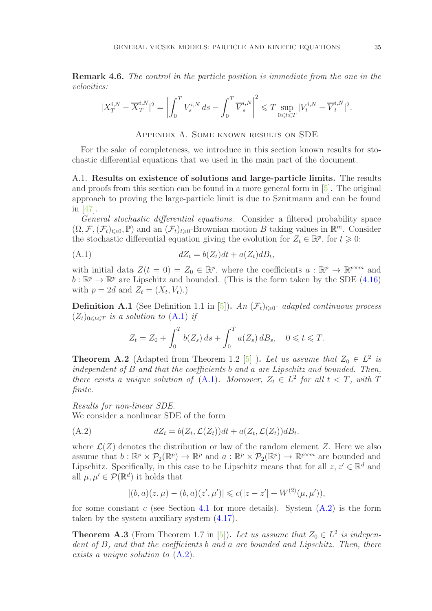Remark 4.6. The control in the particle position is immediate from the one in the velocities:

$$
|X_T^{i,N} - \overline{X}_T^{i,N}|^2 = \left| \int_0^T V_s^{i,N} \, ds - \int_0^T \overline{V}_s^{i,N} \right|^2 \le T \sup_{0 \le t \le T} |V_t^{i,N} - \overline{V}_t^{i,N}|^2.
$$

Appendix A. Some known results on SDE

<span id="page-34-0"></span>For the sake of completeness, we introduce in this section known results for stochastic differential equations that we used in the main part of the document.

<span id="page-34-1"></span>A.1. Results on existence of solutions and large-particle limits. The results and proofs from this section can be found in a more general form in [\[5\]](#page-36-7). The original approach to proving the large-particle limit is due to Sznitmann and can be found in [\[47\]](#page-38-14).

General stochastic differential equations. Consider a filtered probability space  $(\Omega, \mathcal{F}, (\mathcal{F}_t)_{t\geqslant0}, \mathbb{P})$  and an  $(\mathcal{F}_t)_{t\geqslant0}$ -Brownian motion B taking values in  $\mathbb{R}^m$ . Consider the stochastic differential equation giving the evolution for  $Z_t \in \mathbb{R}^p$ , for  $t \geq 0$ :

$$
(A.1) \t\t dZ_t = b(Z_t)dt + a(Z_t)dB_t,
$$

with initial data  $Z(t=0) = Z_0 \in \mathbb{R}^p$ , where the coefficients  $a : \mathbb{R}^p \to \mathbb{R}^{p \times m}$  and  $b : \mathbb{R}^p \to \mathbb{R}^p$  are Lipschitz and bounded. (This is the form taken by the SDE [\(4.16\)](#page-32-1) with  $p = 2d$  and  $Z_t = (X_t, V_t)$ .

**Definition A.1** (See Definition 1.1 in [\[5\]](#page-36-7)). An  $(\mathcal{F}_t)_{t\geq0}$ - adapted continuous process  $(Z_t)_{0\leq t\leq T}$  is a solution to  $(A.1)$  if

<span id="page-34-4"></span>
$$
Z_t = Z_0 + \int_0^T b(Z_s) \, ds + \int_0^T a(Z_s) \, dB_s, \quad 0 \leq t \leq T.
$$

<span id="page-34-2"></span>**Theorem A.2** (Adapted from Theorem 1.2 [\[5\]](#page-36-7)). Let us assume that  $Z_0 \in L^2$  is independent of B and that the coefficients b and a are Lipschitz and bounded. Then, there exists a unique solution of  $(A.1)$ . Moreover,  $Z_t \in L^2$  for all  $t < T$ , with T finite.

Results for non-linear SDE.

We consider a nonlinear SDE of the form

$$
(A.2) \t dZ_t = b(Z_t, \mathcal{L}(Z_t))dt + a(Z_t, \mathcal{L}(Z_t))dB_t.
$$

where  $\mathcal{L}(Z)$  denotes the distribution or law of the random element Z. Here we also assume that  $b : \mathbb{R}^p \times \mathcal{P}_2(\mathbb{R}^p) \to \mathbb{R}^p$  and  $a : \mathbb{R}^p \times \mathcal{P}_2(\mathbb{R}^p) \to \mathbb{R}^{p \times m}$  are bounded and Lipschitz. Specifically, in this case to be Lipschitz means that for all  $z, z' \in \mathbb{R}^d$  and all  $\mu, \mu' \in \mathcal{P}(\mathbb{R}^d)$  it holds that

<span id="page-34-5"></span>
$$
|(b, a)(z, \mu) - (b, a)(z', \mu')| \leq c(|z - z'| + W^{(2)}(\mu, \mu')),
$$

for some constant c (see Section [4.1](#page-26-1) for more details). System  $(A.2)$  is the form taken by the system auxiliary system [\(4.17\)](#page-33-0).

<span id="page-34-3"></span>**Theorem A.3** (From Theorem 1.7 in [\[5\]](#page-36-7)). Let us assume that  $Z_0 \in L^2$  is independently dent of B, and that the coefficients b and a are bounded and Lipschitz. Then, there exists a unique solution to [\(A.2\)](#page-34-5).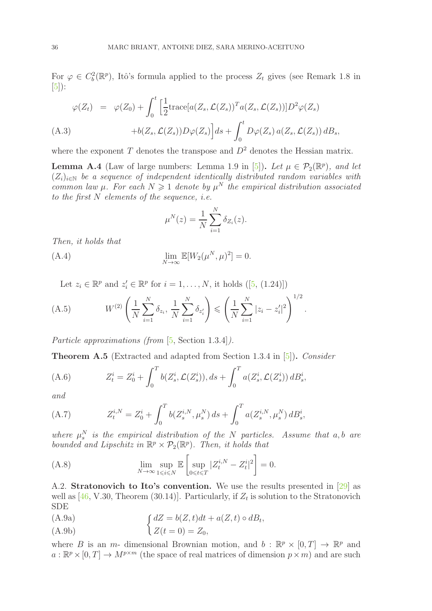For  $\varphi \in C_b^2(\mathbb{R}^p)$ , Itô's formula applied to the process  $Z_t$  gives (see Remark 1.8 in  $[5]$ :

<span id="page-35-1"></span>
$$
\varphi(Z_t) = \varphi(Z_0) + \int_0^t \left[ \frac{1}{2} \text{trace}[a(Z_s, \mathcal{L}(Z_s))^T a(Z_s, \mathcal{L}(Z_s))] D^2 \varphi(Z_s) \right. \n\left. + b(Z_s, \mathcal{L}(Z_s)) D \varphi(Z_s) \right] ds + \int_0^t D \varphi(Z_s) a(Z_s, \mathcal{L}(Z_s)) dB_s,
$$
\n(A.3)

where the exponent T denotes the transpose and  $D^2$  denotes the Hessian matrix.

<span id="page-35-3"></span>**Lemma A.4** (Law of large numbers: Lemma 1.9 in [\[5\]](#page-36-7)). Let  $\mu \in \mathcal{P}_2(\mathbb{R}^p)$ , and let  $(Z_i)_{i\in\mathbb{N}}$  be a sequence of independent identically distributed random variables with common law  $\mu$ . For each  $N \geq 1$  denote by  $\mu^N$  the empirical distribution associated to the first  $N$  elements of the sequence, *i.e.* 

$$
\mu^N(z) = \frac{1}{N} \sum_{i=1}^N \delta_{Z_i}(z).
$$

Then, it holds that

(A.4) 
$$
\lim_{N \to \infty} \mathbb{E}[W_2(\mu^N, \mu)^2] = 0.
$$

<span id="page-35-2"></span>Let $z_i \in \mathbb{R}^p$  and  $z'_i \in \mathbb{R}^p$  for  $i = 1, ..., N$ , it holds ([\[5,](#page-36-7) (1.24)])

(A.5) 
$$
W^{(2)}\left(\frac{1}{N}\sum_{i=1}^{N}\delta_{z_i}, \frac{1}{N}\sum_{i=1}^{N}\delta_{z'_i}\right) \leqslant \left(\frac{1}{N}\sum_{i=1}^{N}|z_i - z'_i|^2\right)^{1/2}.
$$

Particle approximations (from [\[5,](#page-36-7) Section 1.3.4]).

<span id="page-35-4"></span>Theorem A.5 (Extracted and adapted from Section 1.3.4 in [\[5\]](#page-36-7)). Consider

(A.6) 
$$
Z_t^i = Z_0^i + \int_0^T b(Z_s^i, \mathcal{L}(Z_s^i)), ds + \int_0^T a(Z_s^i, \mathcal{L}(Z_s^i)) dB_s^i,
$$

and

(A.7) 
$$
Z_t^{i,N} = Z_0^i + \int_0^T b(Z_s^{i,N}, \mu_s^N) ds + \int_0^T a(Z_s^{i,N}, \mu_s^N) dB_s^i,
$$

where  $\mu_s^N$  is the empirical distribution of the N particles. Assume that a,b are bounded and Lipschitz in  $\mathbb{R}^p \times \mathcal{P}_2(\mathbb{R}^p)$ . Then, it holds that

(A.8) 
$$
\lim_{N \to \infty} \sup_{1 \le i \le N} \mathbb{E} \left[ \sup_{0 \le t \le T} |Z_t^{i,N} - Z_t^i|^2 \right] = 0.
$$

<span id="page-35-0"></span>A.2. Stratonovich to Ito's convention. We use the results presented in [\[29\]](#page-37-17) as well as  $[46, V.30, Theorem (30.14)].$  Particularly, if  $Z_t$  is solution to the Stratonovich SDE

<span id="page-35-5"></span> dZ = b(Z, t)dt + a(Z, t) ◦ dB<sup>t</sup> (A.9a) ,

(A.9b) Z(t = 0) = Z0,

where B is an  $m$ - dimensional Brownian motion, and  $b : \mathbb{R}^p \times [0, T] \to \mathbb{R}^p$  and  $a: \mathbb{R}^p \times [0, T] \to M^{p \times m}$  (the space of real matrices of dimension  $p \times m$ ) and are such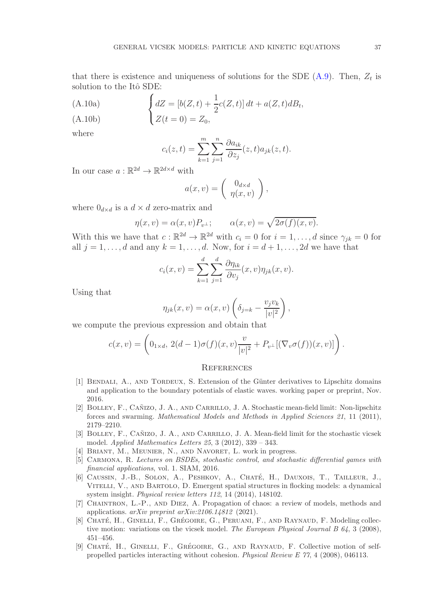that there is existence and uniqueness of solutions for the SDE  $(A.9)$ . Then,  $Z_t$  is solution to the Itô SDE:

(A.10a) 
$$
\begin{cases} dZ = [b(Z, t) + \frac{1}{2}c(Z, t)] dt + a(Z, t) dB_t, \\ c(Z, t) = 0 \end{cases}
$$

(A.10b)  $Z(t = 0) = Z_0$ ,

where

$$
c_i(z,t) = \sum_{k=1}^m \sum_{j=1}^n \frac{\partial a_{ik}}{\partial z_j}(z,t) a_{jk}(z,t).
$$

In our case  $a : \mathbb{R}^{2d} \to \mathbb{R}^{2d \times d}$  with

$$
a(x,v) = \begin{pmatrix} 0_{d \times d} \\ \eta(x,v) \end{pmatrix},
$$

where  $0_{d \times d}$  is a  $d \times d$  zero-matrix and

$$
\eta(x,v) = \alpha(x,v)P_{v^{\perp}}; \qquad \alpha(x,v) = \sqrt{2\sigma(f)(x,v)}.
$$

With this we have that  $c : \mathbb{R}^{2d} \to \mathbb{R}^{2d}$  with  $c_i = 0$  for  $i = 1, ..., d$  since  $\gamma_{jk} = 0$  for all  $j = 1, \ldots, d$  and any  $k = 1, \ldots, d$ . Now, for  $i = d + 1, \ldots, 2d$  we have that

$$
c_i(x,v) = \sum_{k=1}^d \sum_{j=1}^d \frac{\partial \eta_{ik}}{\partial v_j}(x,v) \eta_{jk}(x,v).
$$

Using that

$$
\eta_{jk}(x,v) = \alpha(x,v) \left( \delta_{j=k} - \frac{v_j v_k}{|v|^2} \right),\,
$$

we compute the previous expression and obtain that

$$
c(x,v) = \left(0_{1 \times d}, \ 2(d-1)\sigma(f)(x,v)\frac{v}{|v|^2} + P_{v^{\perp}}[(\nabla_v \sigma(f))(x,v)]\right).
$$

#### <span id="page-36-1"></span>**REFERENCES**

- <span id="page-36-9"></span>[1] BENDALI, A., AND TORDEUX, S. Extension of the Günter derivatives to Lipschitz domains and application to the boundary potentials of elastic waves. working paper or preprint, Nov. 2016.
- <span id="page-36-3"></span>[2] BOLLEY, F., CAÑIZO, J. A., AND CARRILLO, J. A. Stochastic mean-field limit: Non-lipschitz forces and swarming. Mathematical Models and Methods in Applied Sciences 21, 11 (2011), 2179–2210.
- <span id="page-36-0"></span>[3] BOLLEY, F., CAÑIZO, J. A., AND CARRILLO, J. A. Mean-field limit for the stochastic vicsek model. Applied Mathematics Letters 25, 3 (2012), 339 – 343.
- <span id="page-36-7"></span><span id="page-36-2"></span>[4] BRIANT, M., MEUNIER, N., AND NAVORET, L. work in progress.
- [5] CARMONA, R. Lectures on BSDEs, stochastic control, and stochastic differential games with financial applications, vol. 1. SIAM, 2016.
- <span id="page-36-4"></span>[6] CAUSSIN, J.-B., SOLON, A., PESHKOV, A., CHATÉ, H., DAUXOIS, T., TAILLEUR, J., Vitelli, V., and Bartolo, D. Emergent spatial structures in flocking models: a dynamical system insight. Physical review letters 112, 14 (2014), 148102.
- <span id="page-36-8"></span>[7] Chaintron, L.-P., and Diez, A. Propagation of chaos: a review of models, methods and applications. arXiv preprint arXiv:2106.14812 (2021).
- <span id="page-36-5"></span>[8] CHATÉ, H., GINELLI, F., GRÉGOIRE, G., PERUANI, F., AND RAYNAUD, F. Modeling collective motion: variations on the vicsek model. The European Physical Journal B 64, 3 (2008), 451–456.
- <span id="page-36-6"></span>[9] CHATÉ, H., GINELLI, F., GRÉGOIRE, G., AND RAYNAUD, F. Collective motion of selfpropelled particles interacting without cohesion. Physical Review E 77, 4 (2008), 046113.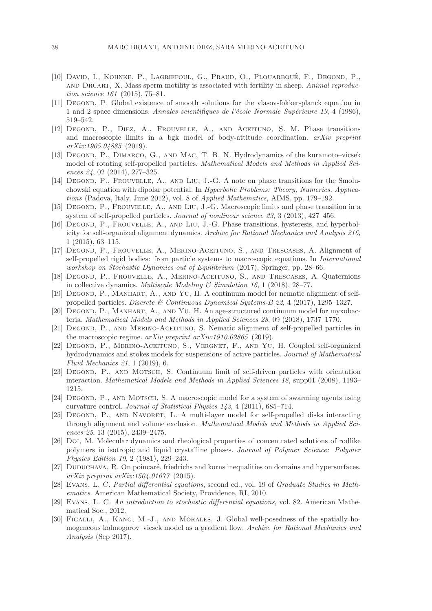- <span id="page-37-2"></span>[10] David, I., Kohnke, P., Lagriffoul, G., Praud, O., Plouarbou´e, F., Degond, P., and DRUART, X. Mass sperm motility is associated with fertility in sheep. Animal reproduction science 161 (2015), 75–81.
- <span id="page-37-19"></span>[11] Degond, P. Global existence of smooth solutions for the vlasov-fokker-planck equation in 1 and 2 space dimensions. Annales scientifiques de l'école Normale Supérieure 19, 4 (1986), 519–542.
- <span id="page-37-6"></span>[12] Degond, P., Diez, A., Frouvelle, A., and Aceituno, S. M. Phase transitions and macroscopic limits in a bgk model of body-attitude coordination.  $arXiv$  preprint arXiv:1905.04885 (2019).
- <span id="page-37-7"></span>[13] Degond, P., Dimarco, G., and Mac, T. B. N. Hydrodynamics of the kuramoto–vicsek model of rotating self-propelled particles. Mathematical Models and Methods in Applied Sciences 24, 02 (2014), 277–325.
- <span id="page-37-15"></span>[14] DEGOND, P., FROUVELLE, A., AND LIU, J.-G. A note on phase transitions for the Smoluchowski equation with dipolar potential. In Hyperbolic Problems: Theory, Numerics, Applications (Padova, Italy, June 2012), vol. 8 of Applied Mathematics, AIMS, pp. 179–192.
- <span id="page-37-3"></span>[15] DEGOND, P., FROUVELLE, A., AND LIU, J.-G. Macroscopic limits and phase transition in a system of self-propelled particles. *Journal of nonlinear science 23*, 3 (2013), 427–456.
- <span id="page-37-4"></span>[16] Degond, P., Frouvelle, A., and Liu, J.-G. Phase transitions, hysteresis, and hyperbolicity for self-organized alignment dynamics. Archive for Rational Mechanics and Analysis 216, 1 (2015), 63–115.
- <span id="page-37-9"></span>[17] Degond, P., Frouvelle, A., Merino-Aceituno, S., and Trescases, A. Alignment of self-propelled rigid bodies: from particle systems to macroscopic equations. In *International* workshop on Stochastic Dynamics out of Equilibrium (2017), Springer, pp. 28–66.
- <span id="page-37-8"></span>[18] DEGOND, P., FROUVELLE, A., MERINO-ACEITUNO, S., AND TRESCASES, A. Quaternions in collective dynamics. Multiscale Modeling  $\mathcal{B}$  Simulation 16, 1 (2018), 28–77.
- <span id="page-37-10"></span>[19] Degond, P., Manhart, A., and Yu, H. A continuum model for nematic alignment of selfpropelled particles. Discrete & Continuous Dynamical Systems-B 22, 4 (2017), 1295–1327.
- <span id="page-37-11"></span>[20] Degond, P., Manhart, A., and Yu, H. An age-structured continuum model for myxobacteria. Mathematical Models and Methods in Applied Sciences 28, 09 (2018), 1737–1770.
- <span id="page-37-12"></span>[21] Degond, P., and Merino-Aceituno, S. Nematic alignment of self-propelled particles in the macroscopic regime. arXiv preprint arXiv:1910.02865 (2019).
- <span id="page-37-13"></span>[22] Degond, P., Merino-Aceituno, S., Vergnet, F., and Yu, H. Coupled self-organized hydrodynamics and stokes models for suspensions of active particles. Journal of Mathematical Fluid Mechanics 21, 1 (2019), 6.
- <span id="page-37-1"></span>[23] Degond, P., and Motsch, S. Continuum limit of self-driven particles with orientation interaction. Mathematical Models and Methods in Applied Sciences 18, supp01 (2008), 1193– 1215.
- <span id="page-37-14"></span>[24] Degond, P., and Motsch, S. A macroscopic model for a system of swarming agents using curvature control. Journal of Statistical Physics 143, 4 (2011), 685–714.
- <span id="page-37-5"></span>[25] DEGOND, P., AND NAVORET, L. A multi-layer model for self-propelled disks interacting through alignment and volume exclusion. Mathematical Models and Methods in Applied Sciences 25, 13 (2015), 2439–2475.
- <span id="page-37-16"></span>[26] Doi, M. Molecular dynamics and rheological properties of concentrated solutions of rodlike polymers in isotropic and liquid crystalline phases. Journal of Polymer Science: Polymer Physics Edition 19, 2 (1981), 229–243.
- <span id="page-37-18"></span>[27] DUDUCHAVA, R. On poincaré, friedrichs and korns inequalities on domains and hypersurfaces. arXiv preprint arXiv:1504.01677 (2015).
- <span id="page-37-20"></span>[28] Evans, L. C. Partial differential equations, second ed., vol. 19 of Graduate Studies in Mathematics. American Mathematical Society, Providence, RI, 2010.
- <span id="page-37-17"></span>[29] Evans, L. C. An introduction to stochastic differential equations, vol. 82. American Mathematical Soc., 2012.
- <span id="page-37-0"></span>[30] Figalli, A., Kang, M.-J., and Morales, J. Global well-posedness of the spatially homogeneous kolmogorov–vicsek model as a gradient flow. Archive for Rational Mechanics and Analysis (Sep 2017).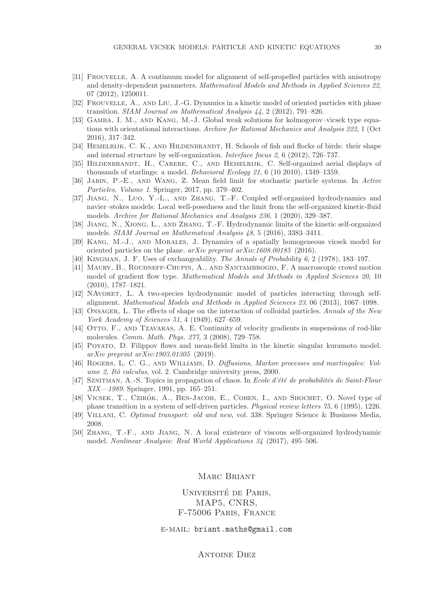- <span id="page-38-6"></span>[31] Frouvelle, A. A continuum model for alignment of self-propelled particles with anisotropy and density-dependent parameters. Mathematical Models and Methods in Applied Sciences 22, 07 (2012), 1250011.
- <span id="page-38-1"></span><span id="page-38-0"></span>[32] Frouvelle, A., and Liu, J.-G. Dynamics in a kinetic model of oriented particles with phase transition. SIAM Journal on Mathematical Analysis 44, 2 (2012), 791–826.
- [33] Gamba, I. M., and Kang, M.-J. Global weak solutions for kolmogorov–vicsek type equations with orientational interactions. Archive for Rational Mechanics and Analysis 222, 1 (Oct 2016), 317–342.
- <span id="page-38-3"></span>[34] HEMELRIJK, C. K., AND HILDENBRANDT, H. Schools of fish and flocks of birds: their shape and internal structure by self-organization. Interface focus 2, 6 (2012), 726–737.
- <span id="page-38-2"></span>[35] HILDENBRANDT, H., CARERE, C., AND HEMELRIJK, C. Self-organized aerial displays of thousands of starlings: a model. Behavioral Ecology 21, 6 (10 2010), 1349–1359.
- <span id="page-38-11"></span><span id="page-38-10"></span>[36] Jabin, P.-E., and Wang, Z. Mean field limit for stochastic particle systems. In Active Particles, Volume 1. Springer, 2017, pp. 379–402.
- [37] Jiang, N., Luo, Y.-L., and Zhang, T.-F. Coupled self-organized hydrodynamics and navier–stokes models: Local well-posedness and the limit from the self-organized kinetic-fluid models. Archive for Rational Mechanics and Analysis 236, 1 (2020), 329–387.
- <span id="page-38-8"></span>[38] Jiang, N., Xiong, L., and Zhang, T.-F. Hydrodynamic limits of the kinetic self-organized models. SIAM Journal on Mathematical Analysis 48, 5 (2016), 3383–3411.
- <span id="page-38-12"></span>[39] Kang, M.-J., and Morales, J. Dynamics of a spatially homogeneous vicsek model for oriented particles on the plane. arXiv preprint arXiv:1608.00185 (2016).
- <span id="page-38-17"></span><span id="page-38-4"></span>[40] Kingman, J. F. Uses of exchangeability. The Annals of Probability 6, 2 (1978), 183–197.
- [41] Maury, B., Roudneff-Chupin, A., and Santambrogio, F. A macroscopic crowd motion model of gradient flow type. Mathematical Models and Methods in Applied Sciences 20, 10 (2010), 1787–1821.
- <span id="page-38-13"></span>[42] NAVORET, L. A two-species hydrodynamic model of particles interacting through selfalignment. Mathematical Models and Methods in Applied Sciences 23, 06 (2013), 1067–1098.
- <span id="page-38-16"></span>[43] ONSAGER, L. The effects of shape on the interaction of colloidal particles. Annals of the New York Academy of Sciences 51, 4 (1949), 627–659.
- <span id="page-38-18"></span>[44] OTTO, F., AND TZAVARAS, A. E. Continuity of velocity gradients in suspensions of rod-like molecules. Comm. Math. Phys. 277, 3 (2008), 729–758.
- <span id="page-38-7"></span>[45] Poyato, D. Filippov flows and mean-field limits in the kinetic singular kuramoto model. arXiv preprint arXiv:1903.01305 (2019).
- <span id="page-38-19"></span>[46] ROGERS, L. C. G., AND WILLIAMS, D. Diffusions, Markov processes and martingales: Volume 2, Itô calculus, vol. 2. Cambridge university press, 2000.
- <span id="page-38-14"></span>[47] SZNITMAN, A.-S. Topics in propagation of chaos. In Ecole d'été de probabilités de Saint-Flour XIX—1989. Springer, 1991, pp. 165–251.
- <span id="page-38-5"></span>[48] VICSEK, T., CZIRÓK, A., BEN-JACOB, E., COHEN, I., AND SHOCHET, O. Novel type of phase transition in a system of self-driven particles. Physical review letters 75, 6 (1995), 1226.
- <span id="page-38-15"></span><span id="page-38-9"></span>[49] Villani, C. Optimal transport: old and new, vol. 338. Springer Science & Business Media, 2008.
- [50] Zhang, T.-F., and Jiang, N. A local existence of viscous self-organized hydrodynamic model. Nonlinear Analysis: Real World Applications 34 (2017), 495–506.

### MARC BRIANT

UNIVERSITÉ DE PARIS, MAP5, CNRS, F-75006 Paris, France

e-mail: briant.maths@gmail.com

Antoine Diez